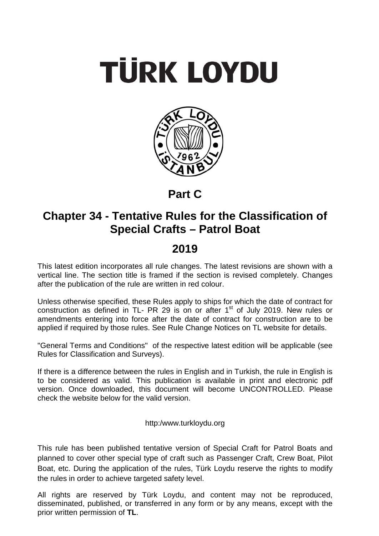# **TÜRK LOYDU**



# **Part C**

# **Chapter 34 - Tentative Rules for the Classification of Special Crafts – Patrol Boat**

# **2019**

This latest edition incorporates all rule changes. The latest revisions are shown with a vertical line. The section title is framed if the section is revised completely. Changes after the publication of the rule are written in red colour.

Unless otherwise specified, these Rules apply to ships for which the date of contract for construction as defined in TL- PR 29 is on or after  $1<sup>st</sup>$  of July 2019. New rules or amendments entering into force after the date of contract for construction are to be applied if required by those rules. See Rule Change Notices on TL website for details.

"General Terms and Conditions" of the respective latest edition will be applicable (see Rules for Classification and Surveys).

If there is a difference between the rules in English and in Turkish, the rule in English is to be considered as valid. This publication is available in print and electronic pdf version. Once downloaded, this document will become UNCONTROLLED. Please check the website below for the valid version.

# http:/www.turkloydu.org

This rule has been published tentative version of Special Craft for Patrol Boats and planned to cover other special type of craft such as Passenger Craft, Crew Boat, Pilot Boat, etc. During the application of the rules, Türk Loydu reserve the rights to modify the rules in order to achieve targeted safety level.

All rights are reserved by Türk Loydu, and content may not be reproduced, disseminated, published, or transferred in any form or by any means, except with the prior written permission of **TL**.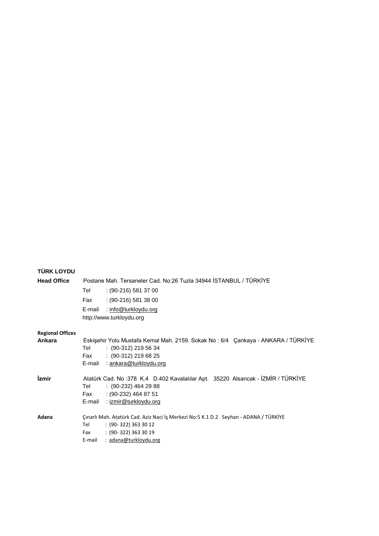# **TÜRK LOYDU**

| <b>Head Office</b>         | Postane Mah. Tersaneler Cad. No:26 Tuzla 34944 STANBUL / TÜRKİYE                                                                                                                          |
|----------------------------|-------------------------------------------------------------------------------------------------------------------------------------------------------------------------------------------|
|                            | $(90-216)$ 581 37 00<br>Tel                                                                                                                                                               |
|                            | $(90-216)$ 581 38 00<br>Fax                                                                                                                                                               |
|                            | : info@turkloydu.org<br>E-mail<br>http://www.turkloydu.org                                                                                                                                |
| <b>Regional Offices</b>    |                                                                                                                                                                                           |
| Ankara                     | Eskişehir Yolu Mustafa Kemal Mah. 2159. Sokak No: 6/4 Çankaya - ANKARA / TÜRKİYE<br>$: (90-312)$ 219 56 34<br>Tel<br>$(90-312)$ 219 68 25<br>Fax<br>E-mail : ankara@turkloydu.org         |
| <i><u><b>izmir</b></u></i> | Atatürk Cad. No:378 K.4 D.402 Kavalalılar Apt. 35220 Alsancak - İZMİR / TÜRKİYE<br>$(90-232)$ 464 29 88<br>Tel<br>$(90-232)$ 464 87 51<br>Fax<br>E-mail : izmir@turkloydu.org             |
| Adana                      | Çınarlı Mah. Atatürk Cad. Aziz Naci İş Merkezi No:5 K.1 D.2 Seyhan - ADANA / TÜRKİYE<br>$: (90-322) 363 30 12$<br>Tel<br>$: (90-322) 363 30 19$<br>Fax<br>: adana@turkloydu.org<br>E-mail |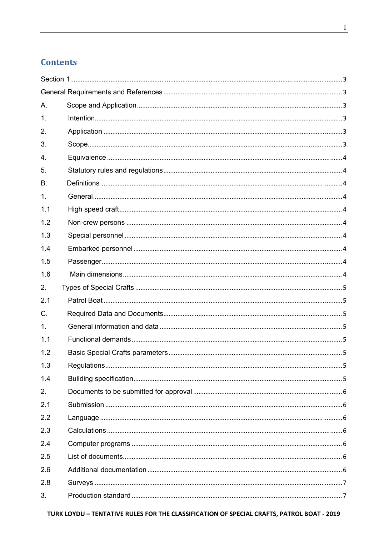# **Contents**

| Α.          |  |
|-------------|--|
| 1.          |  |
| 2.          |  |
| 3.          |  |
| 4.          |  |
| 5.          |  |
| В.          |  |
| 1.          |  |
| 1.1         |  |
| 1.2         |  |
| 1.3         |  |
| 1.4         |  |
| 1.5         |  |
| 1.6         |  |
| 2.          |  |
| 2.1         |  |
| $C_{\cdot}$ |  |
| 1.          |  |
| 1.1         |  |
| 1.2         |  |
| 1.3         |  |
| 1.4         |  |
| 2.          |  |
| 2.1         |  |
| 2.2         |  |
| 2.3         |  |
| 2.4         |  |
| 2.5         |  |
| 2.6         |  |
| 2.8         |  |
| 3.          |  |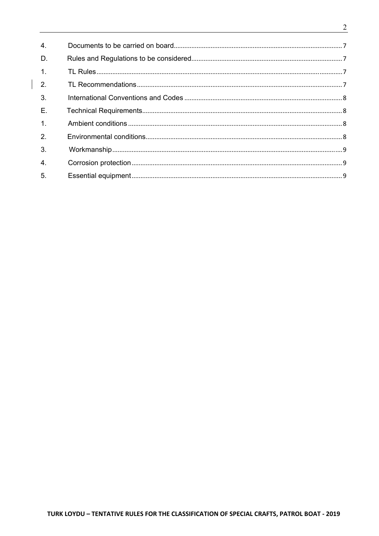| 4.               |  |
|------------------|--|
| D.               |  |
| $\overline{1}$ . |  |
| 2.               |  |
| 3.               |  |
| E.               |  |
| $\overline{1}$ . |  |
| 2.               |  |
| 3.               |  |
| 4.               |  |
| 5.               |  |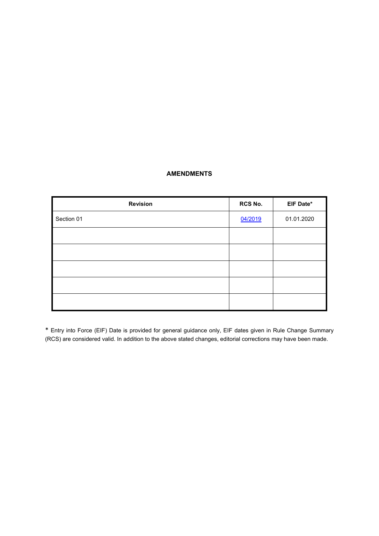# **AMENDMENTS**

| <b>Revision</b> | RCS No. | EIF Date*  |
|-----------------|---------|------------|
| Section 01      | 04/2019 | 01.01.2020 |
|                 |         |            |
|                 |         |            |
|                 |         |            |
|                 |         |            |
|                 |         |            |

\* Entry into Force (EIF) Date is provided for general guidance only, EIF dates given in Rule Change Summary (RCS) are considered valid. In addition to the above stated changes, editorial corrections may have been made.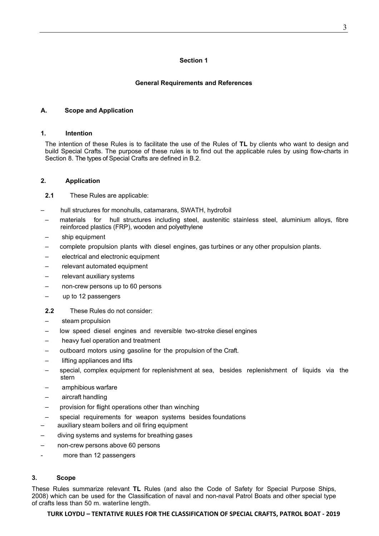# **Section 1**

# **General Requirements and References**

# **A. Scope and Application**

#### **1. Intention**

The intention of these Rules is to facilitate the use of the Rules of **TL** by clients who want to design and build Special Crafts. The purpose of these rules is to find out the applicable rules by using flow-charts in Section 8. The types of Special Crafts are defined in B.2.

# **2. Application**

**2.1** These Rules are applicable:

- hull structures for monohulls, catamarans, SWATH, hydrofoil
- materials for hull structures including steel, austenitic stainless steel, aluminium alloys, fibre reinforced plastics (FRP), wooden and polyethylene
- ship equipment
- complete propulsion plants with diesel engines, gas turbines or any other propulsion plants.
- electrical and electronic equipment
- relevant automated equipment
- relevant auxiliary systems
- non-crew persons up to 60 persons
- up to 12 passengers
- **2.2** These Rules do not consider:
- steam propulsion
- low speed diesel engines and reversible two-stroke diesel engines
- heavy fuel operation and treatment
- outboard motors using gasoline for the propulsion of the Craft.
- lifting appliances and lifts
- special, complex equipment for replenishment at sea, besides replenishment of liquids via the stern
- amphibious warfare
- aircraft handling
- provision for flight operations other than winching
- special requirements for weapon systems besides foundations
- auxiliary steam boilers and oil firing equipment
- diving systems and systems for breathing gases
- non-crew persons above 60 persons
- more than 12 passengers

# **3. Scope**

These Rules summarize relevant **TL** Rules (and also the Code of Safety for Special Purpose Ships, 2008) which can be used for the Classification of naval and non-naval Patrol Boats and other special type of crafts less than 50 m. waterline length.

# **TURK LOYDU – TENTATIVE RULES FOR THE CLASSIFICATION OF SPECIAL CRAFTS, PATROL BOAT ‐ 2019**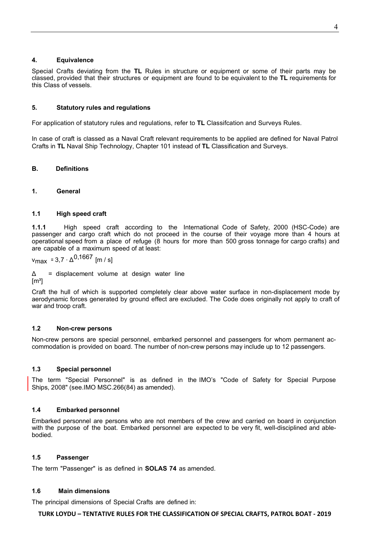#### **4. Equivalence**

Special Crafts deviating from the **TL** Rules in structure or equipment or some of their parts may be classed, provided that their structures or equipment are found to be equivalent to the **TL** requirements for this Class of vessels.

# **5. Statutory rules and regulations**

For application of statutory rules and regulations, refer to **TL** Classifcation and Surveys Rules.

In case of craft is classed as a Naval Craft relevant requirements to be applied are defined for Naval Patrol Crafts in **TL** Naval Ship Technology, Chapter 101 instead of **TL** Classification and Surveys.

# **B. Definitions**

# **1. General**

# **1.1 High speed craft**

**1.1.1** High speed craft according to the International Code of Safety, 2000 (HSC-Code) are passenger and cargo craft which do not proceed in the course of their voyage more than 4 hours at operational speed from a place of refuge (8 hours for more than 500 gross tonnage for cargo crafts) and are capable of a maximum speed of at least:

$$
v_{\text{max}} = 3.7 \cdot \Delta^{0,1667} \text{ [m/s]}
$$

 $\Delta$  = displacement volume at design water line

 $[m<sup>3</sup>]$ 

Craft the hull of which is supported completely clear above water surface in non-displacement mode by aerodynamic forces generated by ground effect are excluded. The Code does originally not apply to craft of war and troop craft.

# **1.2 Non-crew persons**

Non-crew persons are special personnel, embarked personnel and passengers for whom permanent accommodation is provided on board. The number of non-crew persons may include up to 12 passengers.

# **1.3 Special personnel**

The term "Special Personnel" is as defined in the IMO's "Code of Safety for Special Purpose Ships, 2008" (see.IMO MSC.266(84) as amended).

# **1.4 Embarked personnel**

Embarked personnel are persons who are not members of the crew and carried on board in conjunction with the purpose of the boat. Embarked personnel are expected to be very fit, well-disciplined and ablebodied.

#### **1.5 Passenger**

The term "Passenger" is as defined in **SOLAS 74** as amended.

# **1.6 Main dimensions**

The principal dimensions of Special Crafts are defined in:

#### **TURK LOYDU – TENTATIVE RULES FOR THE CLASSIFICATION OF SPECIAL CRAFTS, PATROL BOAT ‐ 2019**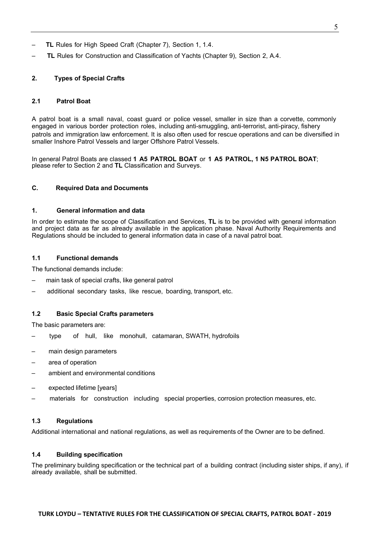**TURK LOYDU – TENTATIVE RULES FOR THE CLASSIFICATION OF SPECIAL CRAFTS, PATROL BOAT ‐ 2019**

- **TL** Rules for High Speed Craft (Chapter 7), Section 1, 1.4.
- **TL** Rules for Construction and Classification of Yachts (Chapter 9), Section 2, A.4.

# **2. Types of Special Crafts**

#### **2.1 Patrol Boat**

A patrol boat is a small naval, coast guard or police vessel, smaller in size than a corvette, commonly engaged in various border protection roles, including anti-smuggling, anti-terrorist, anti-piracy, fishery patrols and immigration law enforcement. It is also often used for rescue operations and can be diversified in smaller Inshore Patrol Vessels and larger Offshore Patrol Vessels.

In general Patrol Boats are classed **1 A5 PATROL BOAT** or **1 A5 PATROL, 1 N5 PATROL BOAT**; please refer to Section 2 and **TL** Classification and Surveys.

#### **C. Required Data and Documents**

#### **1. General information and data**

In order to estimate the scope of Classification and Services, **TL** is to be provided with general information and project data as far as already available in the application phase. Naval Authority Requirements and Regulations should be included to general information data in case of a naval patrol boat.

#### **1.1 Functional demands**

The functional demands include:

- main task of special crafts, like general patrol
- additional secondary tasks, like rescue, boarding, transport, etc.

#### **1.2 Basic Special Crafts parameters**

The basic parameters are:

- type of hull, like monohull, catamaran, SWATH, hydrofoils
- main design parameters
- area of operation
- ambient and environmental conditions
- expected lifetime [years]
- materials for construction including special properties, corrosion protection measures, etc.

#### **1.3 Regulations**

Additional international and national regulations, as well as requirements of the Owner are to be defined.

# **1.4 Building specification**

The preliminary building specification or the technical part of a building contract (including sister ships, if any), if already available, shall be submitted.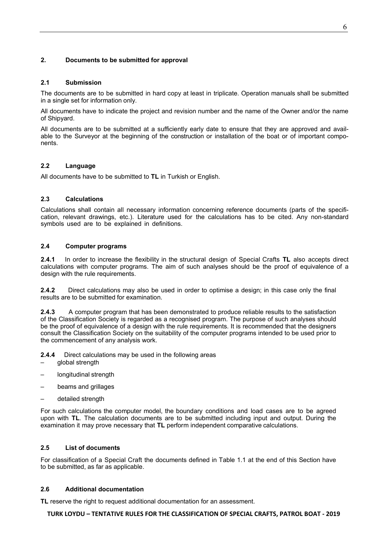# **2. Documents to be submitted for approval**

#### **2.1 Submission**

The documents are to be submitted in hard copy at least in triplicate. Operation manuals shall be submitted in a single set for information only.

All documents have to indicate the project and revision number and the name of the Owner and/or the name of Shipyard.

All documents are to be submitted at a sufficiently early date to ensure that they are approved and available to the Surveyor at the beginning of the construction or installation of the boat or of important components.

# **2.2 Language**

All documents have to be submitted to **TL** in Turkish or English.

# **2.3 Calculations**

Calculations shall contain all necessary information concerning reference documents (parts of the specification, relevant drawings, etc.). Literature used for the calculations has to be cited. Any non-standard symbols used are to be explained in definitions.

# **2.4 Computer programs**

**2.4.1** In order to increase the flexibility in the structural design of Special Crafts **TL** also accepts direct calculations with computer programs. The aim of such analyses should be the proof of equivalence of a design with the rule requirements.

**2.4.2** Direct calculations may also be used in order to optimise a design; in this case only the final results are to be submitted for examination.

**2.4.3** A computer program that has been demonstrated to produce reliable results to the satisfaction of the Classification Society is regarded as a recognised program. The purpose of such analyses should be the proof of equivalence of a design with the rule requirements. It is recommended that the designers consult the Classification Society on the suitability of the computer programs intended to be used prior to the commencement of any analysis work.

**2.4.4** Direct calculations may be used in the following areas

- global strength
- longitudinal strength
- beams and grillages
- detailed strength

For such calculations the computer model, the boundary conditions and load cases are to be agreed upon with **TL**. The calculation documents are to be submitted including input and output. During the examination it may prove necessary that **TL** perform independent comparative calculations.

# **2.5 List of documents**

For classification of a Special Craft the documents defined in Table 1.1 at the end of this Section have to be submitted, as far as applicable.

#### **2.6 Additional documentation**

**TL** reserve the right to request additional documentation for an assessment.

#### **TURK LOYDU – TENTATIVE RULES FOR THE CLASSIFICATION OF SPECIAL CRAFTS, PATROL BOAT ‐ 2019**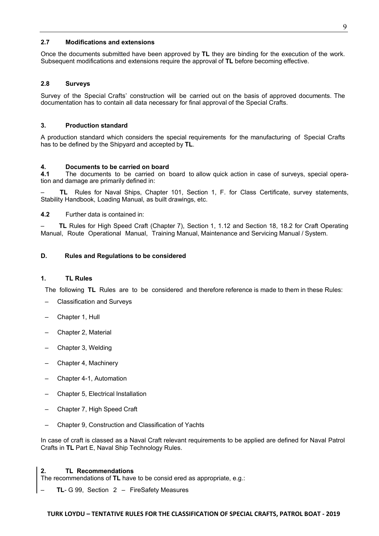# **2.7 Modifications and extensions**

Once the documents submitted have been approved by **TL** they are binding for the execution of the work. Subsequent modifications and extensions require the approval of **TL** before becoming effective.

#### **2.8 Surveys**

Survey of the Special Crafts' construction will be carried out on the basis of approved documents. The documentation has to contain all data necessary for final approval of the Special Crafts.

#### **3. Production standard**

A production standard which considers the special requirements for the manufacturing of Special Crafts has to be defined by the Shipyard and accepted by **TL**.

# **4. Documents to be carried on board**

**4.1** The documents to be carried on board to allow quick action in case of surveys, special operation and damage are primarily defined in:

 – **TL** Rules for Naval Ships, Chapter 101, Section 1, F. for Class Certificate, survey statements, Stability Handbook, Loading Manual, as built drawings, etc.

**4.2** Further data is contained in:

– **TL** Rules for High Speed Craft (Chapter 7), Section 1, 1.12 and Section 18, 18.2 for Craft Operating Manual, Route Operational Manual, Training Manual, Maintenance and Servicing Manual / System.

# **D. Rules and Regulations to be considered**

#### **1. TL Rules**

The following **TL** Rules are to be considered and therefore reference is made to them in these Rules:

- Classification and Surveys
- Chapter 1, Hull
- Chapter 2, Material
- Chapter 3, Welding
- Chapter 4, Machinery
- Chapter 4-1, Automation
- Chapter 5, Electrical Installation
- Chapter 7, High Speed Craft
- Chapter 9, Construction and Classification of Yachts

In case of craft is classed as a Naval Craft relevant requirements to be applied are defined for Naval Patrol Crafts in **TL** Part E, Naval Ship Technology Rules.

#### **2. TL Recommendations**

The recommendations of **TL** have to be consid ered as appropriate, e.g.:

– **TL**- G 99, Section 2 – FireSafety Measures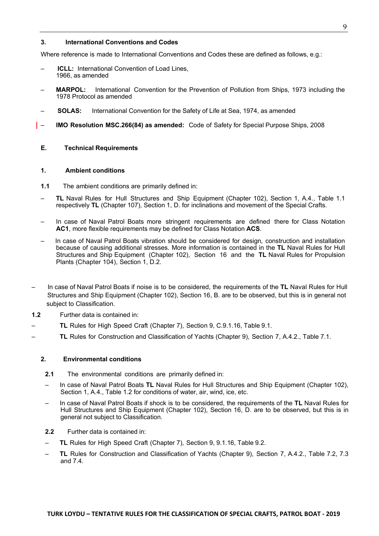#### **3. International Conventions and Codes**

Where reference is made to International Conventions and Codes these are defined as follows, e.g.:

- **ICLL:** International Convention of Load Lines, 1966, as amended
- **MARPOL:** International Convention for the Prevention of Pollution from Ships, 1973 including the 1978 Protocol as amended
- **SOLAS:** International Convention for the Safety of Life at Sea, 1974, as amended
- **IMO Resolution MSC.266(84) as amended:** Code of Safety for Special Purpose Ships, 2008

# **E. Technical Requirements**

#### **1. Ambient conditions**

- **1.1** The ambient conditions are primarily defined in:
- **TL** Naval Rules for Hull Structures and Ship Equipment (Chapter 102), Section 1, A.4., Table 1.1 respectively **TL** (Chapter 107), Section 1, D. for inclinations and movement of the Special Crafts.
- In case of Naval Patrol Boats more stringent requirements are defined there for Class Notation **AC1**, more flexible requirements may be defined for Class Notation **ACS**.
- In case of Naval Patrol Boats vibration should be considered for design, construction and installation because of causing additional stresses. More information is contained in the **TL** Naval Rules for Hull Structures and Ship Equipment (Chapter 102), Section 16 and the **TL** Naval Rules for Propulsion Plants (Chapter 104), Section 1, D.2.
- In case of Naval Patrol Boats if noise is to be considered, the requirements of the **TL** Naval Rules for Hull Structures and Ship Equipment (Chapter 102), Section 16, B. are to be observed, but this is in general not subject to Classification.
- **1.2** Further data is contained in:
- **TL** Rules for High Speed Craft (Chapter 7), Section 9, C.9.1.16, Table 9.1.
- **TL** Rules for Construction and Classification of Yachts (Chapter 9), Section 7, A.4.2., Table 7.1.

#### **2. Environmental conditions**

- **2.1** The environmental conditions are primarily defined in:
- In case of Naval Patrol Boats **TL** Naval Rules for Hull Structures and Ship Equipment (Chapter 102), Section 1, A.4., Table 1.2 for conditions of water, air, wind, ice, etc.
- In case of Naval Patrol Boats if shock is to be considered, the requirements of the **TL** Naval Rules for Hull Structures and Ship Equipment (Chapter 102), Section 16, D. are to be observed, but this is in general not subject to Classification.
- **2.2** Further data is contained in:
- **TL** Rules for High Speed Craft (Chapter 7), Section 9, 9.1.16, Table 9.2.
- **TL** Rules for Construction and Classification of Yachts (Chapter 9), Section 7, A.4.2., Table 7.2, 7.3 and 7.4.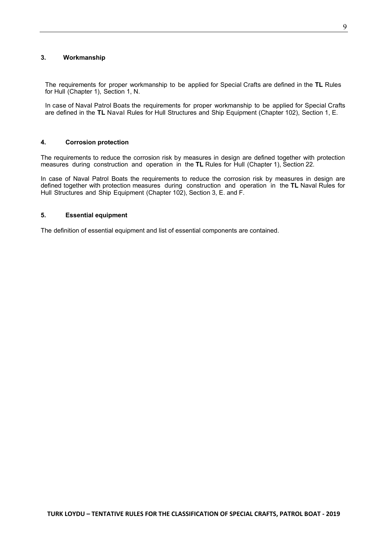# **3. Workmanship**

The requirements for proper workmanship to be applied for Special Crafts are defined in the **TL** Rules for Hull (Chapter 1), Section 1, N.

In case of Naval Patrol Boats the requirements for proper workmanship to be applied for Special Crafts are defined in the **TL** Naval Rules for Hull Structures and Ship Equipment (Chapter 102), Section 1, E.

#### **4. Corrosion protection**

The requirements to reduce the corrosion risk by measures in design are defined together with protection measures during construction and operation in the **TL** Rules for Hull (Chapter 1), Section 22.

In case of Naval Patrol Boats the requirements to reduce the corrosion risk by measures in design are defined together with protection measures during construction and operation in the **TL** Naval Rules for Hull Structures and Ship Equipment (Chapter 102), Section 3, E. and F.

# **5. Essential equipment**

The definition of essential equipment and list of essential components are contained.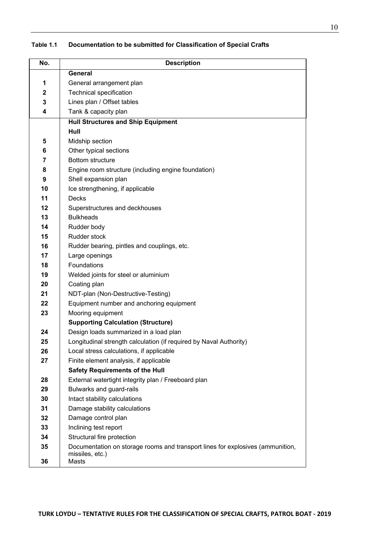| No.                     | <b>Description</b>                                                             |
|-------------------------|--------------------------------------------------------------------------------|
|                         | <b>General</b>                                                                 |
| 1                       | General arrangement plan                                                       |
| $\mathbf 2$             | <b>Technical specification</b>                                                 |
| 3                       | Lines plan / Offset tables                                                     |
| $\overline{\mathbf{4}}$ | Tank & capacity plan                                                           |
|                         | <b>Hull Structures and Ship Equipment</b>                                      |
|                         | Hull                                                                           |
| 5                       | Midship section                                                                |
| 6                       | Other typical sections                                                         |
| 7                       | <b>Bottom structure</b>                                                        |
| 8                       | Engine room structure (including engine foundation)                            |
| 9                       | Shell expansion plan                                                           |
| 10                      | Ice strengthening, if applicable                                               |
| 11                      | <b>Decks</b>                                                                   |
| 12                      | Superstructures and deckhouses                                                 |
| 13                      | <b>Bulkheads</b>                                                               |
| 14                      | Rudder body                                                                    |
| 15                      | Rudder stock                                                                   |
| 16                      | Rudder bearing, pintles and couplings, etc.                                    |
| 17                      | Large openings                                                                 |
| 18                      | <b>Foundations</b>                                                             |
| 19                      | Welded joints for steel or aluminium                                           |
| 20                      | Coating plan                                                                   |
| 21                      | NDT-plan (Non-Destructive-Testing)                                             |
| 22                      | Equipment number and anchoring equipment                                       |
| 23                      | Mooring equipment                                                              |
|                         | <b>Supporting Calculation (Structure)</b>                                      |
| 24                      | Design loads summarized in a load plan                                         |
| 25                      | Longitudinal strength calculation (if required by Naval Authority)             |
| 26                      | Local stress calculations, if applicable                                       |
| 27                      | Finite element analysis, if applicable                                         |
|                         | <b>Safety Requirements of the Hull</b>                                         |
| 28                      | External watertight integrity plan / Freeboard plan                            |
| 29                      | Bulwarks and guard-rails                                                       |
| 30                      | Intact stability calculations                                                  |
| 31<br>32                | Damage stability calculations<br>Damage control plan                           |
| 33                      | Inclining test report                                                          |
| 34                      | Structural fire protection                                                     |
| 35                      | Documentation on storage rooms and transport lines for explosives (ammunition, |
|                         | missiles, etc.)                                                                |
| 36                      | Masts                                                                          |

**Table 1.1 Documentation to be submitted for Classification of Special Crafts**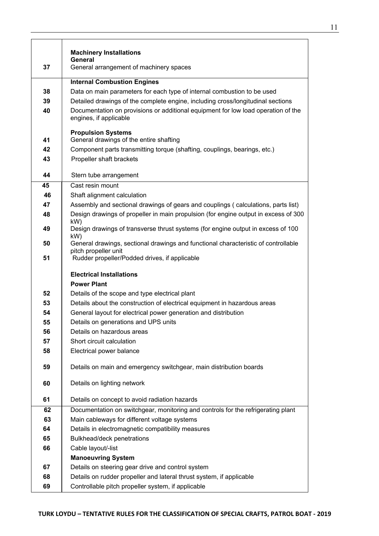| 37       | <b>Machinery Installations</b><br>General<br>General arrangement of machinery spaces                                       |
|----------|----------------------------------------------------------------------------------------------------------------------------|
|          |                                                                                                                            |
|          | <b>Internal Combustion Engines</b>                                                                                         |
| 38       | Data on main parameters for each type of internal combustion to be used                                                    |
| 39       | Detailed drawings of the complete engine, including cross/longitudinal sections                                            |
| 40       | Documentation on provisions or additional equipment for low load operation of the<br>engines, if applicable                |
| 41       | <b>Propulsion Systems</b><br>General drawings of the entire shafting                                                       |
| 42       | Component parts transmitting torque (shafting, couplings, bearings, etc.)                                                  |
| 43       | Propeller shaft brackets                                                                                                   |
|          |                                                                                                                            |
| 44       | Stern tube arrangement<br>Cast resin mount                                                                                 |
| 45<br>46 | Shaft alignment calculation                                                                                                |
| 47       | Assembly and sectional drawings of gears and couplings (calculations, parts list)                                          |
| 48       | Design drawings of propeller in main propulsion (for engine output in excess of 300                                        |
|          | kW)                                                                                                                        |
| 49       | Design drawings of transverse thrust systems (for engine output in excess of 100<br>kW)                                    |
| 50       | General drawings, sectional drawings and functional characteristic of controllable                                         |
| 51       | pitch propeller unit<br>Rudder propeller/Podded drives, if applicable                                                      |
|          | <b>Electrical Installations</b>                                                                                            |
|          |                                                                                                                            |
|          | <b>Power Plant</b>                                                                                                         |
| 52       | Details of the scope and type electrical plant                                                                             |
| 53       | Details about the construction of electrical equipment in hazardous areas                                                  |
| 54       | General layout for electrical power generation and distribution                                                            |
| 55       | Details on generations and UPS units                                                                                       |
| 56       | Details on hazardous areas                                                                                                 |
| 57       | Short circuit calculation                                                                                                  |
| 58       | Electrical power balance                                                                                                   |
| 59       | Details on main and emergency switchgear, main distribution boards                                                         |
| 60       | Details on lighting network                                                                                                |
| 61       | Details on concept to avoid radiation hazards                                                                              |
| 62       | Documentation on switchgear, monitoring and controls for the refrigerating plant                                           |
| 63       | Main cableways for different voltage systems                                                                               |
| 64       | Details in electromagnetic compatibility measures                                                                          |
| 65       | Bulkhead/deck penetrations                                                                                                 |
| 66       | Cable layout/-list                                                                                                         |
|          | <b>Manoeuvring System</b>                                                                                                  |
| 67       | Details on steering gear drive and control system                                                                          |
| 68<br>69 | Details on rudder propeller and lateral thrust system, if applicable<br>Controllable pitch propeller system, if applicable |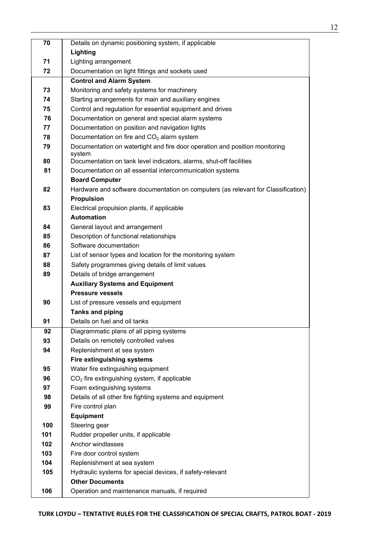| 70  | Details on dynamic positioning system, if applicable                                  |
|-----|---------------------------------------------------------------------------------------|
|     | Lighting                                                                              |
| 71  | Lighting arrangement                                                                  |
| 72  | Documentation on light fittings and sockets used                                      |
|     | <b>Control and Alarm System</b>                                                       |
| 73  | Monitoring and safety systems for machinery                                           |
| 74  | Starting arrangements for main and auxiliary engines                                  |
| 75  | Control and regulation for essential equipment and drives                             |
| 76  | Documentation on general and special alarm systems                                    |
| 77  | Documentation on position and navigation lights                                       |
| 78  | Documentation on fire and $CO2$ alarm system                                          |
| 79  | Documentation on watertight and fire door operation and position monitoring<br>system |
| 80  | Documentation on tank level indicators, alarms, shut-off facilities                   |
| 81  | Documentation on all essential intercommunication systems                             |
|     | <b>Board Computer</b>                                                                 |
| 82  | Hardware and software documentation on computers (as relevant for Classification)     |
|     | <b>Propulsion</b>                                                                     |
| 83  | Electrical propulsion plants, if applicable                                           |
|     | <b>Automation</b>                                                                     |
| 84  | General layout and arrangement                                                        |
| 85  | Description of functional relationships                                               |
| 86  | Software documentation                                                                |
| 87  | List of sensor types and location for the monitoring system                           |
| 88  | Safety programmes giving details of limit values                                      |
| 89  | Details of bridge arrangement                                                         |
|     | <b>Auxiliary Systems and Equipment</b>                                                |
|     | <b>Pressure vessels</b>                                                               |
| 90  | List of pressure vessels and equipment                                                |
|     | <b>Tanks and piping</b>                                                               |
| 91  | Details on fuel and oil tanks                                                         |
| 92  | Diagrammatic plans of all piping systems                                              |
| 93  | Details on remotely controlled valves                                                 |
| 94  | Replenishment at sea system                                                           |
|     | Fire extinguishing systems                                                            |
| 95  | Water fire extinguishing equipment                                                    |
| 96  | $CO2$ fire extinguishing system, if applicable                                        |
| 97  | Foam extinguishing systems                                                            |
| 98  | Details of all other fire fighting systems and equipment                              |
| 99  | Fire control plan                                                                     |
|     | <b>Equipment</b>                                                                      |
| 100 | Steering gear                                                                         |
| 101 | Rudder propeller units, if applicable                                                 |
| 102 | Anchor windlasses                                                                     |
| 103 | Fire door control system                                                              |
| 104 | Replenishment at sea system                                                           |
| 105 | Hydraulic systems for special devices, if safety-relevant                             |
|     | <b>Other Documents</b>                                                                |
| 106 | Operation and maintenance manuals, if required                                        |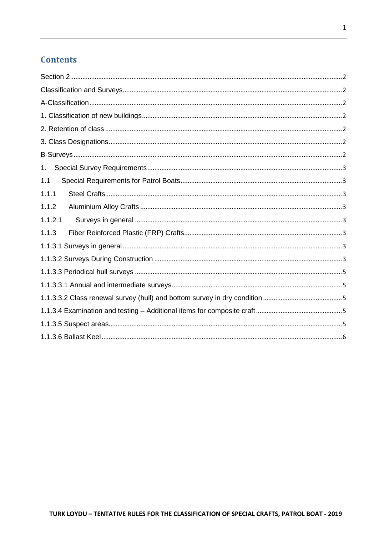# **Contents**

| 1.      |
|---------|
| 1.1     |
| 1.1.1   |
| 1.1.2   |
| 1.1.2.1 |
| 1.1.3   |
|         |
|         |
|         |
|         |
|         |
|         |
|         |
|         |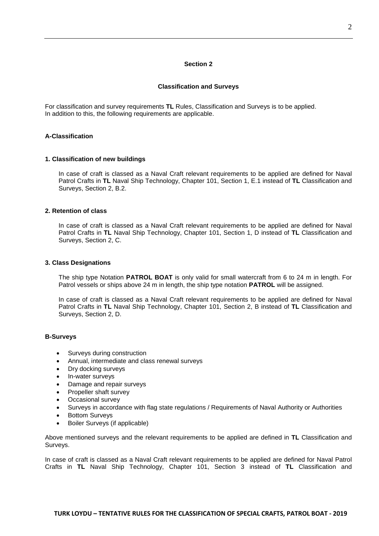#### **Section 2**

#### **Classification and Surveys**

<span id="page-16-1"></span><span id="page-16-0"></span>For classification and survey requirements **TL** Rules, Classification and Surveys is to be applied. In addition to this, the following requirements are applicable.

# <span id="page-16-3"></span><span id="page-16-2"></span>**A-Classification**

#### **1. Classification of new buildings**

In case of craft is classed as a Naval Craft relevant requirements to be applied are defined for Naval Patrol Crafts in **TL** Naval Ship Technology, Chapter 101, Section 1, E.1 instead of **TL** Classification and Surveys, Section 2, B.2.

#### <span id="page-16-4"></span>**2. Retention of class**

In case of craft is classed as a Naval Craft relevant requirements to be applied are defined for Naval Patrol Crafts in **TL** Naval Ship Technology, Chapter 101, Section 1, D instead of **TL** Classification and Surveys, Section 2, C.

#### <span id="page-16-5"></span>**3. Class Designations**

The ship type Notation **PATROL BOAT** is only valid for small watercraft from 6 to 24 m in length. For Patrol vessels or ships above 24 m in length, the ship type notation **PATROL** will be assigned.

In case of craft is classed as a Naval Craft relevant requirements to be applied are defined for Naval Patrol Crafts in **TL** Naval Ship Technology, Chapter 101, Section 2, B instead of **TL** Classification and Surveys, Section 2, D.

#### <span id="page-16-6"></span>**B-Surveys**

- Surveys during construction
- Annual, intermediate and class renewal surveys
- Dry docking surveys
- In-water surveys
- Damage and repair surveys
- Propeller shaft survey
- Occasional survey
- Surveys in accordance with flag state regulations / Requirements of Naval Authority or Authorities
- Bottom Surveys
- Boiler Surveys (if applicable)

Above mentioned surveys and the relevant requirements to be applied are defined in **TL** Classification and Surveys.

In case of craft is classed as a Naval Craft relevant requirements to be applied are defined for Naval Patrol Crafts in **TL** Naval Ship Technology, Chapter 101, Section 3 instead of **TL** Classification and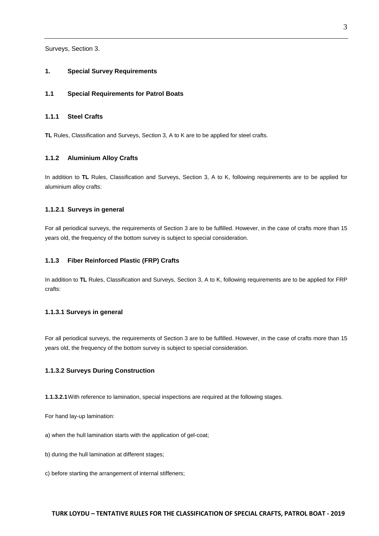<span id="page-17-0"></span>Surveys, Section 3.

#### <span id="page-17-1"></span>**1. Special Survey Requirements**

#### <span id="page-17-2"></span>**1.1 Special Requirements for Patrol Boats**

#### **1.1.1 Steel Crafts**

<span id="page-17-3"></span>**TL** Rules, Classification and Surveys, Section 3, A to K are to be applied for steel crafts.

#### **1.1.2 Aluminium Alloy Crafts**

In addition to **TL** Rules, Classification and Surveys, Section 3, A to K, following requirements are to be applied for aluminium alloy crafts:

#### <span id="page-17-4"></span>**1.1.2.1 Surveys in general**

For all periodical surveys, the requirements of Section 3 are to be fulfilled. However, in the case of crafts more than 15 years old, the frequency of the bottom survey is subject to special consideration.

#### <span id="page-17-5"></span>**1.1.3 Fiber Reinforced Plastic (FRP) Crafts**

In addition to **TL** Rules, Classification and Surveys, Section 3, A to K, following requirements are to be applied for FRP crafts:

#### <span id="page-17-6"></span>**1.1.3.1 Surveys in general**

For all periodical surveys, the requirements of Section 3 are to be fulfilled. However, in the case of crafts more than 15 years old, the frequency of the bottom survey is subject to special consideration.

#### <span id="page-17-7"></span>**1.1.3.2 Surveys During Construction**

**1.1.3.2.1**With reference to lamination, special inspections are required at the following stages.

For hand lay-up lamination:

a) when the hull lamination starts with the application of gel-coat;

- b) during the hull lamination at different stages;
- c) before starting the arrangement of internal stiffeners;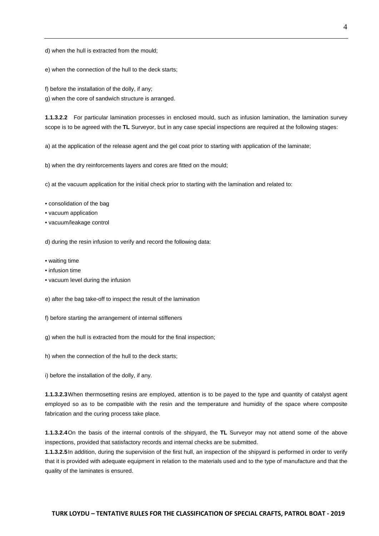d) when the hull is extracted from the mould;

e) when the connection of the hull to the deck starts;

f) before the installation of the dolly, if any;

g) when the core of sandwich structure is arranged.

**1.1.3.2.2** For particular lamination processes in enclosed mould, such as infusion lamination, the lamination survey scope is to be agreed with the **TL** Surveyor, but in any case special inspections are required at the following stages:

a) at the application of the release agent and the gel coat prior to starting with application of the laminate;

b) when the dry reinforcements layers and cores are fitted on the mould;

c) at the vacuum application for the initial check prior to starting with the lamination and related to:

- consolidation of the bag
- vacuum application
- vacuum/leakage control

d) during the resin infusion to verify and record the following data:

- waiting time
- infusion time
- vacuum level during the infusion
- e) after the bag take-off to inspect the result of the lamination
- f) before starting the arrangement of internal stiffeners
- g) when the hull is extracted from the mould for the final inspection;

h) when the connection of the hull to the deck starts;

i) before the installation of the dolly, if any.

**1.1.3.2.3**When thermosetting resins are employed, attention is to be payed to the type and quantity of catalyst agent employed so as to be compatible with the resin and the temperature and humidity of the space where composite fabrication and the curing process take place.

**1.1.3.2.4**On the basis of the internal controls of the shipyard, the **TL** Surveyor may not attend some of the above inspections, provided that satisfactory records and internal checks are be submitted.

**1.1.3.2.5**In addition, during the supervision of the first hull, an inspection of the shipyard is performed in order to verify that it is provided with adequate equipment in relation to the materials used and to the type of manufacture and that the quality of the laminates is ensured.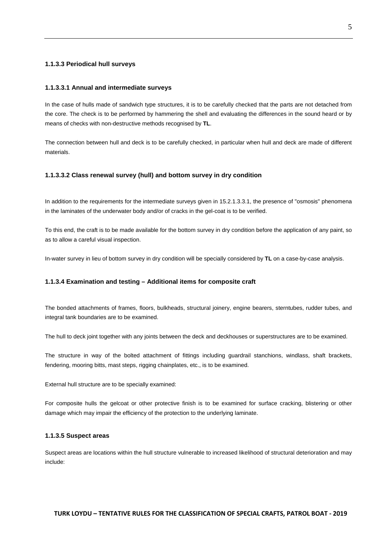#### <span id="page-19-0"></span>**1.1.3.3 Periodical hull surveys**

#### <span id="page-19-1"></span>**1.1.3.3.1 Annual and intermediate surveys**

In the case of hulls made of sandwich type structures, it is to be carefully checked that the parts are not detached from the core. The check is to be performed by hammering the shell and evaluating the differences in the sound heard or by means of checks with non-destructive methods recognised by **TL**.

The connection between hull and deck is to be carefully checked, in particular when hull and deck are made of different materials.

#### <span id="page-19-2"></span>**1.1.3.3.2 Class renewal survey (hull) and bottom survey in dry condition**

In addition to the requirements for the intermediate surveys given in 15.2.1.3.3.1, the presence of "osmosis" phenomena in the laminates of the underwater body and/or of cracks in the gel-coat is to be verified.

To this end, the craft is to be made available for the bottom survey in dry condition before the application of any paint, so as to allow a careful visual inspection.

<span id="page-19-3"></span>In-water survey in lieu of bottom survey in dry condition will be specially considered by **TL** on a case-by-case analysis.

#### **1.1.3.4 Examination and testing – Additional items for composite craft**

The bonded attachments of frames, floors, bulkheads, structural joinery, engine bearers, sterntubes, rudder tubes, and integral tank boundaries are to be examined.

The hull to deck joint together with any joints between the deck and deckhouses or superstructures are to be examined.

The structure in way of the bolted attachment of fittings including guardrail stanchions, windlass, shaft brackets, fendering, mooring bitts, mast steps, rigging chainplates, etc., is to be examined.

External hull structure are to be specially examined:

For composite hulls the gelcoat or other protective finish is to be examined for surface cracking, blistering or other damage which may impair the efficiency of the protection to the underlying laminate.

#### <span id="page-19-4"></span>**1.1.3.5 Suspect areas**

Suspect areas are locations within the hull structure vulnerable to increased likelihood of structural deterioration and may include: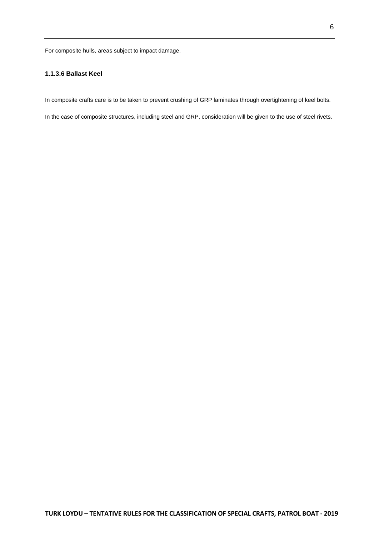<span id="page-20-0"></span>For composite hulls, areas subject to impact damage.

# **1.1.3.6 Ballast Keel**

In composite crafts care is to be taken to prevent crushing of GRP laminates through overtightening of keel bolts.

In the case of composite structures, including steel and GRP, consideration will be given to the use of steel rivets.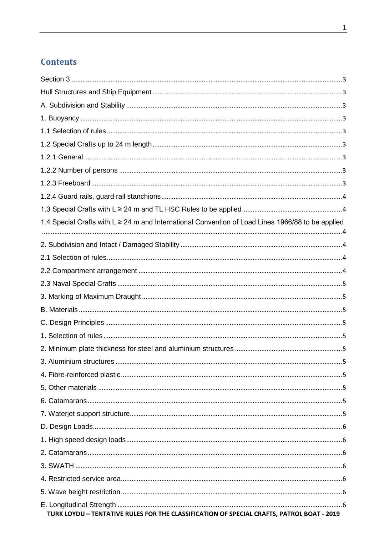# **Contents**

| 1.4 Special Crafts with L ≥ 24 m and International Convention of Load Lines 1966/88 to be applied |  |
|---------------------------------------------------------------------------------------------------|--|
|                                                                                                   |  |
|                                                                                                   |  |
|                                                                                                   |  |
|                                                                                                   |  |
|                                                                                                   |  |
|                                                                                                   |  |
|                                                                                                   |  |
|                                                                                                   |  |
|                                                                                                   |  |
|                                                                                                   |  |
|                                                                                                   |  |
|                                                                                                   |  |
|                                                                                                   |  |
|                                                                                                   |  |
|                                                                                                   |  |
|                                                                                                   |  |
|                                                                                                   |  |
|                                                                                                   |  |
|                                                                                                   |  |
|                                                                                                   |  |
| TURK LOYDU - TENTATIVE RULES FOR THE CLASSIFICATION OF SPECIAL CRAFTS, PATROL BOAT - 2019         |  |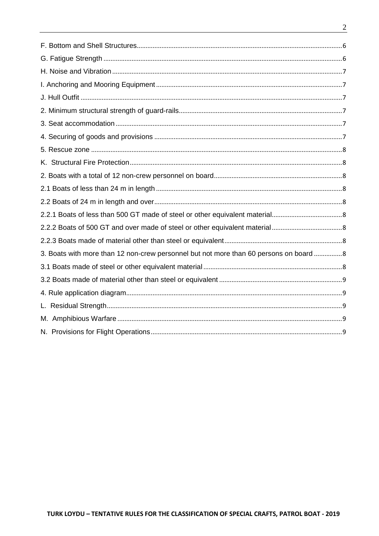| 3. Boats with more than 12 non-crew personnel but not more than 60 persons on board 8 |  |
|---------------------------------------------------------------------------------------|--|
|                                                                                       |  |
|                                                                                       |  |
|                                                                                       |  |
|                                                                                       |  |
|                                                                                       |  |
|                                                                                       |  |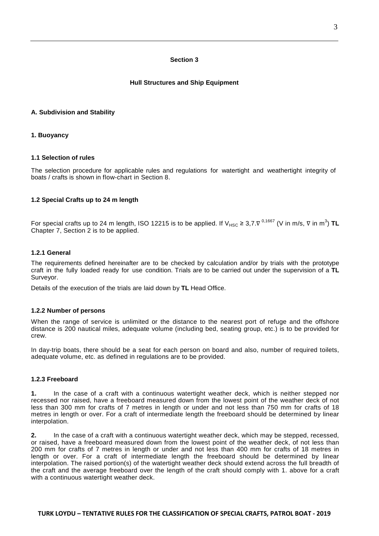#### **Section 3**

#### **Hull Structures and Ship Equipment**

#### <span id="page-23-3"></span><span id="page-23-2"></span><span id="page-23-1"></span><span id="page-23-0"></span>**A. Subdivision and Stability**

#### <span id="page-23-4"></span>**1. Buoyancy**

#### **1.1 Selection of rules**

<span id="page-23-5"></span>The selection procedure for applicable rules and regulations for watertight and weathertight integrity of boats / crafts is shown in flow-chart in Section 8.

#### **1.2 Special Crafts up to 24 m length**

<span id="page-23-6"></span>For special crafts up to 24 m length, ISO 12215 is to be applied. If V<sub>HSC</sub> ≥ 3,7. $\nabla^{0,1667}$  (V in m/s,  $\nabla$  in m<sup>3</sup>) **TL** Chapter 7, Section 2 is to be applied.

#### **1.2.1 General**

The requirements defined hereinafter are to be checked by calculation and/or by trials with the prototype craft in the fully loaded ready for use condition. Trials are to be carried out under the supervision of a **TL** Surveyor.

<span id="page-23-7"></span>Details of the execution of the trials are laid down by **TL** Head Office.

#### **1.2.2 Number of persons**

When the range of service is unlimited or the distance to the nearest port of refuge and the offshore distance is 200 nautical miles, adequate volume (including bed, seating group, etc.) is to be provided for crew.

<span id="page-23-8"></span>In day-trip boats, there should be a seat for each person on board and also, number of required toilets, adequate volume, etc. as defined in regulations are to be provided.

#### **1.2.3 Freeboard**

**1.** In the case of a craft with a continuous watertight weather deck, which is neither stepped nor recessed nor raised, have a freeboard measured down from the lowest point of the weather deck of not less than 300 mm for crafts of 7 metres in length or under and not less than 750 mm for crafts of 18 metres in length or over. For a craft of intermediate length the freeboard should be determined by linear interpolation.

**2.** In the case of a craft with a continuous watertight weather deck, which may be stepped, recessed, or raised, have a freeboard measured down from the lowest point of the weather deck, of not less than 200 mm for crafts of 7 metres in length or under and not less than 400 mm for crafts of 18 metres in length or over. For a craft of intermediate length the freeboard should be determined by linear interpolation. The raised portion(s) of the watertight weather deck should extend across the full breadth of the craft and the average freeboard over the length of the craft should comply with 1. above for a craft with a continuous watertight weather deck.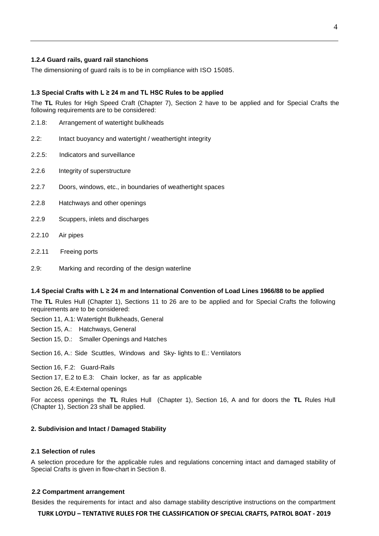#### <span id="page-24-0"></span>**1.2.4 Guard rails, guard rail stanchions**

<span id="page-24-1"></span>The dimensioning of guard rails is to be in compliance with ISO 15085.

#### **1.3 Special Crafts with L ≥ 24 m and TL HSC Rules to be applied**

The **TL** Rules for High Speed Craft (Chapter 7), Section 2 have to be applied and for Special Crafts the following requirements are to be considered:

- 2.1.8: Arrangement of watertight bulkheads
- 2.2: Intact buoyancy and watertight / weathertight integrity
- 2.2.5: Indicators and surveillance
- 2.2.6 Integrity of superstructure
- 2.2.7 Doors, windows, etc., in boundaries of weathertight spaces
- 2.2.8 Hatchways and other openings
- 2.2.9 Scuppers, inlets and discharges
- 2.2.10 Air pipes
- 2.2.11 Freeing ports
- <span id="page-24-2"></span>2.9: Marking and recording of the design waterline

#### **1.4 Special Crafts with L ≥ 24 m and International Convention of Load Lines 1966/88 to be applied**

The **TL** Rules Hull (Chapter 1), Sections 11 to 26 are to be applied and for Special Crafts the following requirements are to be considered:

Section 11, A.1: Watertight Bulkheads, General

Section 15, A.: Hatchways, General

Section 15, D.: Smaller Openings and Hatches

Section 16, A.: Side Scuttles, Windows and Sky- lights to E.: Ventilators

Section 16, F.2: Guard-Rails

Section 17, E.2 to E.3: Chain locker, as far as applicable

Section 26, E.4:External openings

<span id="page-24-3"></span>For access openings the **TL** Rules Hull (Chapter 1), Section 16, A and for doors the **TL** Rules Hull (Chapter 1), Section 23 shall be applied.

#### <span id="page-24-4"></span>**2. Subdivision and Intact / Damaged Stability**

#### **2.1 Selection of rules**

<span id="page-24-5"></span>A selection procedure for the applicable rules and regulations concerning intact and damaged stability of Special Crafts is given in flow-chart in Section 8.

#### **2.2 Compartment arrangement**

Besides the requirements for intact and also damage stability descriptive instructions on the compartment

#### **TURK LOYDU – TENTATIVE RULES FOR THE CLASSIFICATION OF SPECIAL CRAFTS, PATROL BOAT - 2019**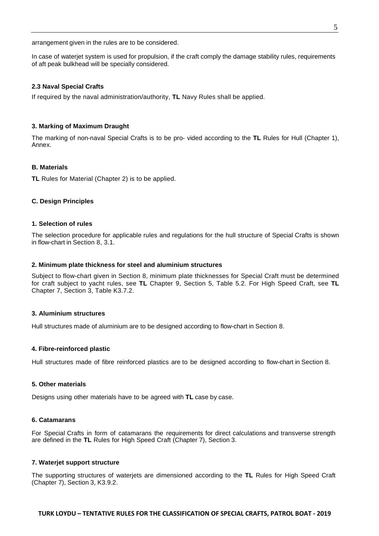arrangement given in the rules are to be considered.

<span id="page-25-0"></span>In case of waterjet system is used for propulsion, if the craft comply the damage stability rules, requirements of aft peak bulkhead will be specially considered.

#### **2.3 Naval Special Crafts**

<span id="page-25-1"></span>If required by the naval administration/authority, **TL** Navy Rules shall be applied.

#### **3. Marking of Maximum Draught**

<span id="page-25-2"></span>The marking of non-naval Special Crafts is to be pro- vided according to the **TL** Rules for Hull (Chapter 1), Annex.

#### **B. Materials**

<span id="page-25-3"></span>**TL** Rules for Material (Chapter 2) is to be applied.

#### <span id="page-25-4"></span>**C. Design Principles**

#### **1. Selection of rules**

<span id="page-25-5"></span>The selection procedure for applicable rules and regulations for the hull structure of Special Crafts is shown in flow-chart in Section 8, 3.1.

#### **2. Minimum plate thickness for steel and aluminium structures**

Subject to flow-chart given in Section 8, minimum plate thicknesses for Special Craft must be determined for craft subject to yacht rules, see **TL** Chapter 9, Section 5, Table 5.2. For High Speed Craft, see **TL** Chapter 7, Section 3, Table K3.7.2.

#### <span id="page-25-6"></span>**3. Aluminium structures**

<span id="page-25-7"></span>Hull structures made of aluminium are to be designed according to flow-chart in Section 8.

#### **4. Fibre-reinforced plastic**

<span id="page-25-8"></span>Hull structures made of fibre reinforced plastics are to be designed according to flow-chart in Section 8.

#### **5. Other materials**

<span id="page-25-9"></span>Designs using other materials have to be agreed with **TL** case by case.

#### **6. Catamarans**

<span id="page-25-10"></span>For Special Crafts in form of catamarans the requirements for direct calculations and transverse strength are defined in the **TL** Rules for High Speed Craft (Chapter 7), Section 3.

#### **7. Waterjet support structure**

The supporting structures of waterjets are dimensioned according to the **TL** Rules for High Speed Craft (Chapter 7), Section 3, K3.9.2.

# **TURK LOYDU – TENTATIVE RULES FOR THE CLASSIFICATION OF SPECIAL CRAFTS, PATROL BOAT - 2019**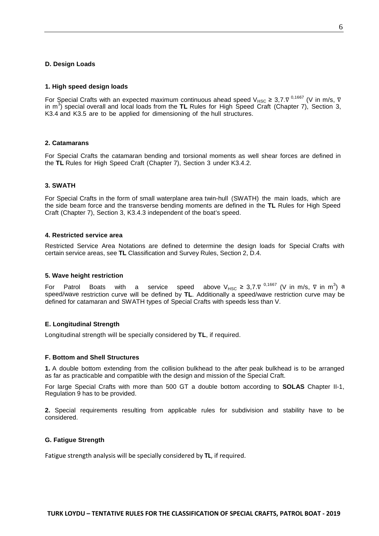#### <span id="page-26-1"></span><span id="page-26-0"></span>**D. Design Loads**

#### **1. High speed design loads**

For Special Crafts with an expected maximum continuous ahead speed V<sub>HSC</sub> ≥ 3,7. $\nabla^{0,1667}$  (V in m/s,  $\nabla$ in m<sup>3</sup>) special overall and local loads from the TL Rules for High Speed Craft (Chapter 7), Section 3, K3.4 and K3.5 are to be applied for dimensioning of the hull structures.

#### <span id="page-26-2"></span>**2. Catamarans**

<span id="page-26-3"></span>For Special Crafts the catamaran bending and torsional moments as well shear forces are defined in the **TL** Rules for High Speed Craft (Chapter 7), Section 3 under K3.4.2.

#### **3. SWATH**

For Special Crafts in the form of small waterplane area twin-hull (SWATH) the main loads, which are the side beam force and the transverse bending moments are defined in the **TL** Rules for High Speed Craft (Chapter 7), Section 3, K3.4.3 independent of the boat's speed.

#### <span id="page-26-4"></span>**4. Restricted service area**

<span id="page-26-5"></span>Restricted Service Area Notations are defined to determine the design loads for Special Crafts with certain service areas, see **TL** Classification and Survey Rules, Section 2, D.4.

#### **5. Wave height restriction**

For Patrol Boats with a service speed above  $V_{HSC} \geq 3.7 \cdot V^{-0.1667}$  (V in m/s, V in m<sup>3</sup>) a speed/wave restriction curve will be defined by **TL**. Additionally a speed/wave restriction curve may be defined for catamaran and SWATH types of Special Crafts with speeds less than V.

#### <span id="page-26-6"></span>**E. Longitudinal Strength**

<span id="page-26-7"></span>Longitudinal strength will be specially considered by **TL**, if required.

#### **F. Bottom and Shell Structures**

**1.** A double bottom extending from the collision bulkhead to the after peak bulkhead is to be arranged as far as practicable and compatible with the design and mission of the Special Craft.

For large Special Crafts with more than 500 GT a double bottom according to **SOLAS** Chapter II-1, Regulation 9 has to be provided.

<span id="page-26-8"></span>**2.** Special requirements resulting from applicable rules for subdivision and stability have to be considered.

#### **G. Fatigue Strength**

Fatigue strength analysis will be specially considered by **TL**, if required.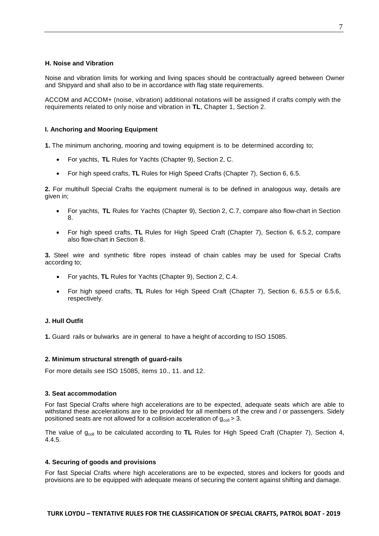#### <span id="page-27-0"></span>**H. Noise and Vibration**

Noise and vibration limits for working and living spaces should be contractually agreed between Owner and Shipyard and shall also to be in accordance with flag state requirements.

ACCOM and ACCOM+ (noise, vibration) additional notations will be assigned if crafts comply with the requirements related to only noise and vibration in **TL**, Chapter 1, Section 2.

# <span id="page-27-1"></span>**I. Anchoring and Mooring Equipment**

**1.** The minimum anchoring, mooring and towing equipment is to be determined according to;

- For yachts, **TL** Rules for Yachts (Chapter 9), Section 2, C.
- For high speed crafts, **TL** Rules for High Speed Crafts (Chapter 7), Section 6, 6.5.

**2.** For multihull Special Crafts the equipment numeral is to be defined in analogous way, details are given in;

- For yachts, **TL** Rules for Yachts (Chapter 9), Section 2, C.7, compare also flow-chart in Section 8.
- For high speed crafts, **TL** Rules for High Speed Craft (Chapter 7), Section 6, 6.5.2, compare also flow-chart in Section 8.

**3.** Steel wire and synthetic fibre ropes instead of chain cables may be used for Special Crafts according to;

- For yachts, **TL** Rules for Yachts (Chapter 9), Section 2, C.4.
- For high speed crafts, **TL** Rules for High Speed Craft (Chapter 7), Section 6, 6.5.5 or 6.5.6, respectively.

#### <span id="page-27-2"></span>**J. Hull Outfit**

<span id="page-27-3"></span>**1.** Guard rails or bulwarks are in general to have a height of according to ISO 15085.

#### **2. Minimum structural strength of guard-rails**

<span id="page-27-4"></span>For more details see ISO 15085, items 10., 11. and 12.

#### **3. Seat accommodation**

For fast Special Crafts where high accelerations are to be expected, adequate seats which are able to withstand these accelerations are to be provided for all members of the crew and / or passengers. Sidely positioned seats are not allowed for a collision acceleration of  $g_{\text{coll}} > 3$ .

<span id="page-27-5"></span>The value of g<sub>coll</sub> to be calculated according to **TL** Rules for High Speed Craft (Chapter 7), Section 4, 4.4.5.

#### **4. Securing of goods and provisions**

For fast Special Crafts where high accelerations are to be expected, stores and lockers for goods and provisions are to be equipped with adequate means of securing the content against shifting and damage.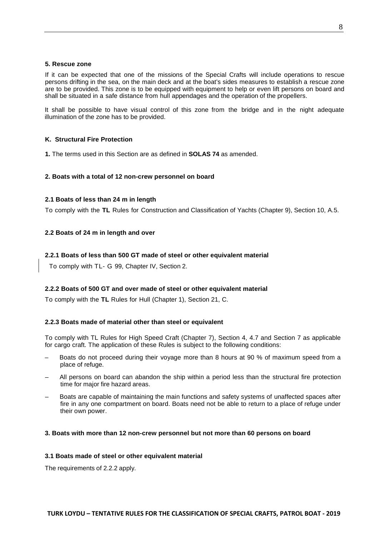#### <span id="page-28-0"></span>**5. Rescue zone**

If it can be expected that one of the missions of the Special Crafts will include operations to rescue persons drifting in the sea, on the main deck and at the boat's sides measures to establish a rescue zone are to be provided. This zone is to be equipped with equipment to help or even lift persons on board and shall be situated in a safe distance from hull appendages and the operation of the propellers.

<span id="page-28-1"></span>It shall be possible to have visual control of this zone from the bridge and in the night adequate illumination of the zone has to be provided.

#### **K. Structural Fire Protection**

<span id="page-28-2"></span>**1.** The terms used in this Section are as defined in **SOLAS 74** as amended.

# <span id="page-28-3"></span>**2. Boats with a total of 12 non-crew personnel on board**

# **2.1 Boats of less than 24 m in length**

<span id="page-28-4"></span>To comply with the **TL** Rules for Construction and Classification of Yachts (Chapter 9), Section 10, A.5.

# <span id="page-28-5"></span>**2.2 Boats of 24 m in length and over**

# **2.2.1 Boats of less than 500 GT made of steel or other equivalent material**

<span id="page-28-6"></span>To comply with TL- G 99, Chapter IV, Section 2.

# **2.2.2 Boats of 500 GT and over made of steel or other equivalent material**

<span id="page-28-7"></span>To comply with the **TL** Rules for Hull (Chapter 1), Section 21, C.

# **2.2.3 Boats made of material other than steel or equivalent**

To comply with TL Rules for High Speed Craft (Chapter 7), Section 4, 4.7 and Section 7 as applicable for cargo craft. The application of these Rules is subject to the following conditions:

- Boats do not proceed during their voyage more than 8 hours at 90 % of maximum speed from a place of refuge.
- All persons on board can abandon the ship within a period less than the structural fire protection time for major fire hazard areas.
- Boats are capable of maintaining the main functions and safety systems of unaffected spaces after fire in any one compartment on board. Boats need not be able to return to a place of refuge under their own power.

#### <span id="page-28-9"></span><span id="page-28-8"></span>**3. Boats with more than 12 non-crew personnel but not more than 60 persons on board**

#### **3.1 Boats made of steel or other equivalent material**

The requirements of 2.2.2 apply.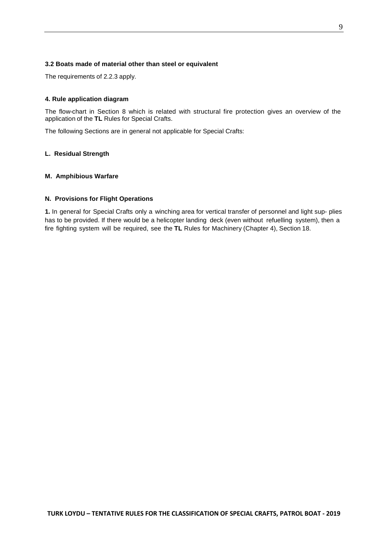# <span id="page-29-0"></span>**3.2 Boats made of material other than steel or equivalent**

<span id="page-29-1"></span>The requirements of 2.2.3 apply.

#### **4. Rule application diagram**

The flow-chart in Section 8 which is related with structural fire protection gives an overview of the application of the **TL** Rules for Special Crafts.

<span id="page-29-2"></span>The following Sections are in general not applicable for Special Crafts:

#### <span id="page-29-3"></span>**L. Residual Strength**

#### <span id="page-29-4"></span>**M. Amphibious Warfare**

# **N. Provisions for Flight Operations**

**1.** In general for Special Crafts only a winching area for vertical transfer of personnel and light sup- plies has to be provided. If there would be a helicopter landing deck (even without refuelling system), then a fire fighting system will be required, see the **TL** Rules for Machinery (Chapter 4), Section 18.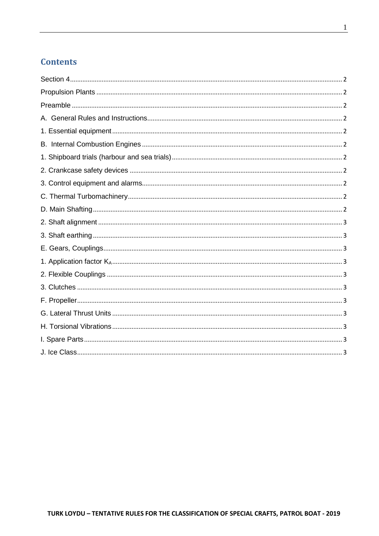# **Contents**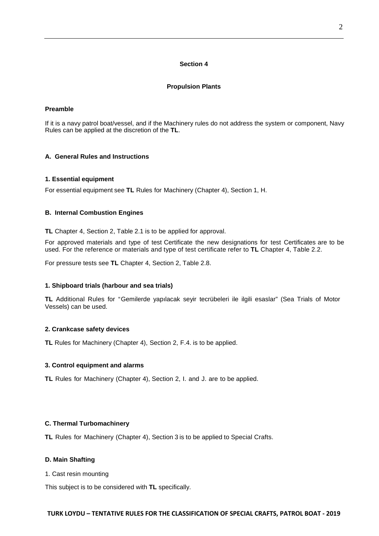#### **Section 4**

# **Propulsion Plants**

# <span id="page-31-2"></span><span id="page-31-1"></span><span id="page-31-0"></span>**Preamble**

If it is a navy patrol boat/vessel, and if the Machinery rules do not address the system or component, Navy Rules can be applied at the discretion of the **TL**.

# <span id="page-31-4"></span><span id="page-31-3"></span>**A. General Rules and Instructions**

# **1. Essential equipment**

<span id="page-31-5"></span>For essential equipment see **TL** Rules for Machinery (Chapter 4), Section 1, H.

# **B. Internal Combustion Engines**

**TL** Chapter 4, Section 2, Table 2.1 is to be applied for approval.

For approved materials and type of test Certificate the new designations for test Certificates are to be used. For the reference or materials and type of test certificate refer to **TL** Chapter 4, Table 2.2.

<span id="page-31-6"></span>For pressure tests see **TL** Chapter 4, Section 2, Table 2.8.

#### **1. Shipboard trials (harbour and sea trials)**

**TL** Additional Rules for "Gemilerde yapılacak seyir tecrübeleri ile ilgili esaslar" (Sea Trials of Motor Vessels) can be used.

#### <span id="page-31-7"></span>**2. Crankcase safety devices**

<span id="page-31-8"></span>**TL** Rules for Machinery (Chapter 4), Section 2, F.4. is to be applied.

#### **3. Control equipment and alarms**

**TL** Rules for Machinery (Chapter 4), Section 2, I. and J. are to be applied.

#### <span id="page-31-9"></span>**C. Thermal Turbomachinery**

<span id="page-31-10"></span>**TL** Rules for Machinery (Chapter 4), Section 3 is to be applied to Special Crafts.

#### **D. Main Shafting**

1. Cast resin mounting

This subject is to be considered with **TL** specifically.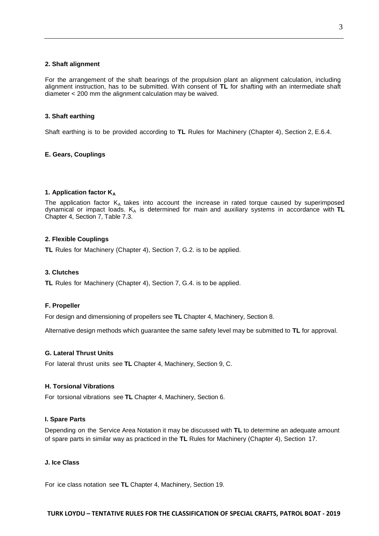#### <span id="page-32-0"></span>**2. Shaft alignment**

For the arrangement of the shaft bearings of the propulsion plant an alignment calculation, including alignment instruction, has to be submitted. With consent of **TL** for shafting with an intermediate shaft diameter < 200 mm the alignment calculation may be waived.

#### <span id="page-32-1"></span>**3. Shaft earthing**

<span id="page-32-2"></span>Shaft earthing is to be provided according to **TL** Rules for Machinery (Chapter 4), Section 2, E.6.4.

#### **E. Gears, Couplings**

#### <span id="page-32-3"></span>**1. Application factor K**<sub>A</sub>

The application factor  $K_A$  takes into account the increase in rated torque caused by superimposed dynamical or impact loads. KA is determined for main and auxiliary systems in accordance with **TL** Chapter 4, Section 7, Table 7.3.

#### <span id="page-32-4"></span>**2. Flexible Couplings**

<span id="page-32-5"></span>**TL** Rules for Machinery (Chapter 4), Section 7, G.2. is to be applied.

#### **3. Clutches**

<span id="page-32-6"></span>**TL** Rules for Machinery (Chapter 4), Section 7, G.4. is to be applied.

#### **F. Propeller**

For design and dimensioning of propellers see **TL** Chapter 4, Machinery, Section 8.

<span id="page-32-7"></span>Alternative design methods which guarantee the same safety level may be submitted to **TL** for approval.

#### **G. Lateral Thrust Units**

<span id="page-32-8"></span>For lateral thrust units see **TL** Chapter 4, Machinery, Section 9, C.

#### **H. Torsional Vibrations**

<span id="page-32-9"></span>For torsional vibrations see **TL** Chapter 4, Machinery, Section 6.

#### **I. Spare Parts**

Depending on the Service Area Notation it may be discussed with **TL** to determine an adequate amount of spare parts in similar way as practiced in the **TL** Rules for Machinery (Chapter 4), Section 17.

#### <span id="page-32-10"></span>**J. Ice Class**

For ice class notation see **TL** Chapter 4, Machinery, Section 19.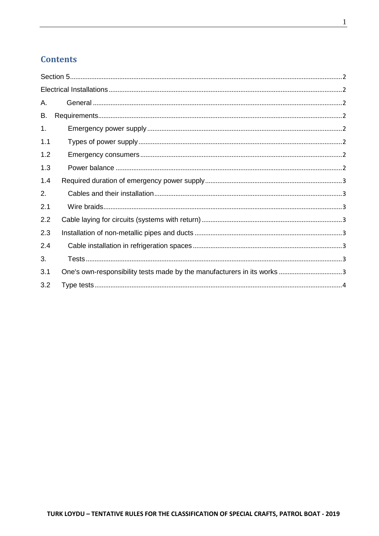# **Contents**

| А.  |                                                                         |
|-----|-------------------------------------------------------------------------|
| В.  |                                                                         |
| 1.  |                                                                         |
| 1.1 |                                                                         |
| 1.2 |                                                                         |
| 1.3 |                                                                         |
| 1.4 |                                                                         |
| 2.  |                                                                         |
| 2.1 |                                                                         |
| 2.2 |                                                                         |
| 2.3 |                                                                         |
| 2.4 |                                                                         |
| 3.  |                                                                         |
| 3.1 | One's own-responsibility tests made by the manufacturers in its works 3 |
| 3.2 |                                                                         |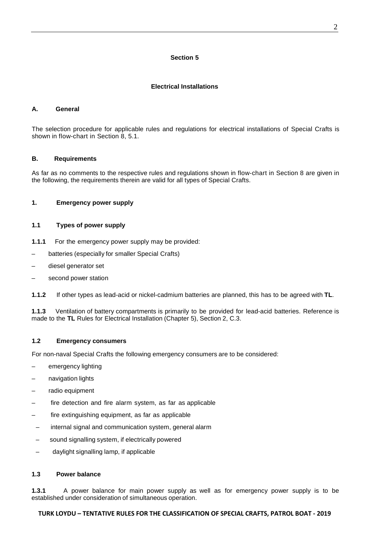#### **Section 5**

# **Electrical Installations**

# <span id="page-34-2"></span><span id="page-34-1"></span><span id="page-34-0"></span>**A. General**

The selection procedure for applicable rules and regulations for electrical installations of Special Crafts is shown in flow-chart in Section 8, 5.1.

# <span id="page-34-3"></span>**B. Requirements**

<span id="page-34-4"></span>As far as no comments to the respective rules and regulations shown in flow-chart in Section 8 are given in the following, the requirements therein are valid for all types of Special Crafts.

# <span id="page-34-5"></span>**1. Emergency power supply**

# **1.1 Types of power supply**

- **1.1.1** For the emergency power supply may be provided:
- batteries (especially for smaller Special Crafts)
- diesel generator set
- second power station

**1.1.2** If other types as lead-acid or nickel-cadmium batteries are planned, this has to be agreed with **TL**.

<span id="page-34-6"></span>**1.1.3** Ventilation of battery compartments is primarily to be provided for lead-acid batteries. Reference is made to the **TL** Rules for Electrical Installation (Chapter 5), Section 2, C.3.

# **1.2 Emergency consumers**

For non-naval Special Crafts the following emergency consumers are to be considered:

- emergency lighting
- navigation lights
- radio equipment
- fire detection and fire alarm system, as far as applicable
- fire extinguishing equipment, as far as applicable
- internal signal and communication system, general alarm
- sound signalling system, if electrically powered
- <span id="page-34-7"></span>daylight signalling lamp, if applicable

#### **1.3 Power balance**

**1.3.1** A power balance for main power supply as well as for emergency power supply is to be established under consideration of simultaneous operation.

# **TURK LOYDU – TENTATIVE RULES FOR THE CLASSIFICATION OF SPECIAL CRAFTS, PATROL BOAT - 2019**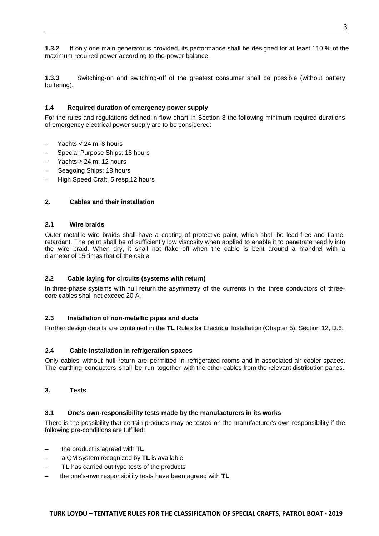**1.3.2** If only one main generator is provided, its performance shall be designed for at least 110 % of the maximum required power according to the power balance.

<span id="page-35-0"></span>**1.3.3** Switching-on and switching-off of the greatest consumer shall be possible (without battery buffering).

# **1.4 Required duration of emergency power supply**

For the rules and regulations defined in flow-chart in Section 8 the following minimum required durations of emergency electrical power supply are to be considered:

- Yachts  $< 24$  m: 8 hours
- Special Purpose Ships: 18 hours
- Yachts ≥ 24 m: 12 hours
- Seagoing Ships: 18 hours
- <span id="page-35-1"></span>– High Speed Craft: 5 resp.12 hours

#### <span id="page-35-2"></span>**2. Cables and their installation**

#### **2.1 Wire braids**

Outer metallic wire braids shall have a coating of protective paint, which shall be lead-free and flameretardant. The paint shall be of sufficiently low viscosity when applied to enable it to penetrate readily into the wire braid. When dry, it shall not flake off when the cable is bent around a mandrel with a diameter of 15 times that of the cable.

#### <span id="page-35-3"></span>**2.2 Cable laying for circuits (systems with return)**

<span id="page-35-4"></span>In three-phase systems with hull return the asymmetry of the currents in the three conductors of threecore cables shall not exceed 20 A.

#### **2.3 Installation of non-metallic pipes and ducts**

<span id="page-35-5"></span>Further design details are contained in the **TL** Rules for Electrical Installation (Chapter 5), Section 12, D.6.

#### **2.4 Cable installation in refrigeration spaces**

<span id="page-35-6"></span>Only cables without hull return are permitted in refrigerated rooms and in associated air cooler spaces. The earthing conductors shall be run together with the other cables from the relevant distribution panes.

#### <span id="page-35-7"></span>**3. Tests**

#### **3.1 One's own-responsibility tests made by the manufacturers in its works**

There is the possibility that certain products may be tested on the manufacturer's own responsibility if the following pre-conditions are fulfilled:

- the product is agreed with **TL**
- a QM system recognized by **TL** is available
- **TL** has carried out type tests of the products
- the one's-own responsibility tests have been agreed with **TL**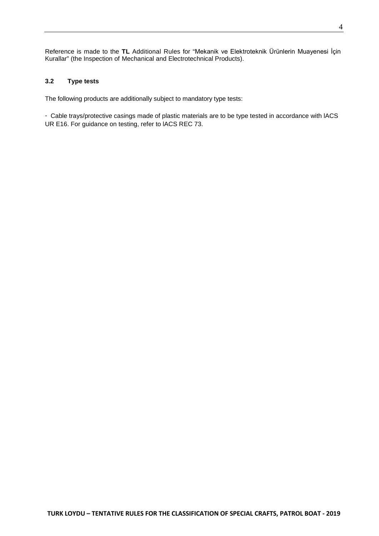Reference is made to the **TL** Additional Rules for "Mekanik ve Elektroteknik Ürünlerin Muayenesi İçin Kurallar" (the Inspection of Mechanical and Electrotechnical Products).

# <span id="page-36-0"></span>**3.2 Type tests**

The following products are additionally subject to mandatory type tests:

- Cable trays/protective casings made of plastic materials are to be type tested in accordance with lACS UR E16. For guidance on testing, refer to lACS REC 73.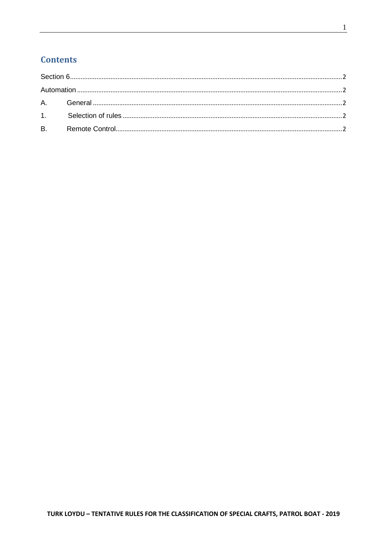# **Contents**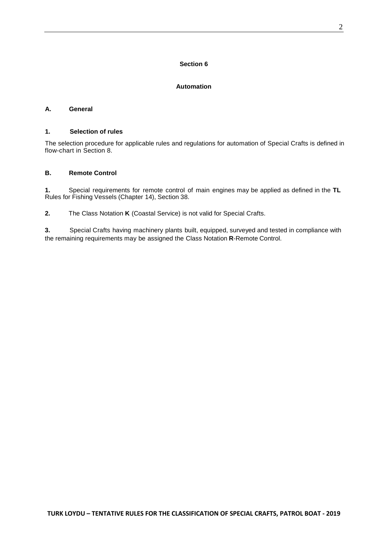# **Section 6**

# **Automation**

# <span id="page-38-3"></span><span id="page-38-2"></span><span id="page-38-1"></span><span id="page-38-0"></span>**A. General**

#### **1. Selection of rules**

The selection procedure for applicable rules and regulations for automation of Special Crafts is defined in flow-chart in Section 8.

# <span id="page-38-4"></span>**B. Remote Control**

**1.** Special requirements for remote control of main engines may be applied as defined in the **TL** Rules for Fishing Vessels (Chapter 14), Section 38.

**2.** The Class Notation **K** (Coastal Service) is not valid for Special Crafts.

**3.** Special Crafts having machinery plants built, equipped, surveyed and tested in compliance with the remaining requirements may be assigned the Class Notation **R**-Remote Control.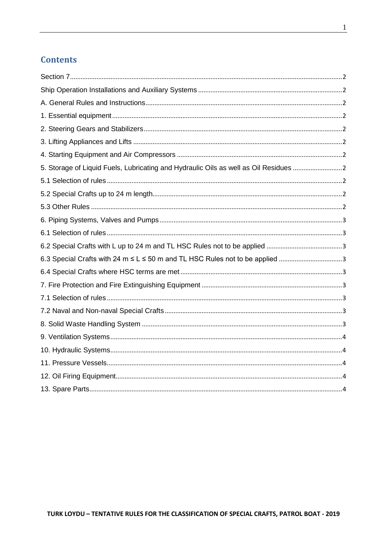# **Contents**

| 5. Storage of Liquid Fuels, Lubricating and Hydraulic Oils as well as Oil Residues 2 |  |
|--------------------------------------------------------------------------------------|--|
|                                                                                      |  |
|                                                                                      |  |
|                                                                                      |  |
|                                                                                      |  |
|                                                                                      |  |
|                                                                                      |  |
| 6.3 Special Crafts with 24 m ≤ L ≤ 50 m and TL HSC Rules not to be applied 3         |  |
|                                                                                      |  |
|                                                                                      |  |
|                                                                                      |  |
|                                                                                      |  |
|                                                                                      |  |
|                                                                                      |  |
|                                                                                      |  |
|                                                                                      |  |
|                                                                                      |  |
|                                                                                      |  |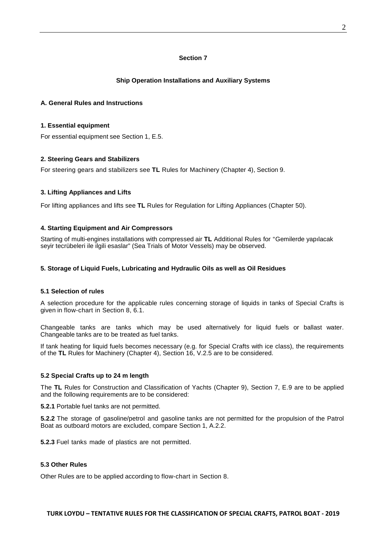# **Section 7**

# **Ship Operation Installations and Auxiliary Systems**

#### <span id="page-40-3"></span><span id="page-40-2"></span><span id="page-40-1"></span><span id="page-40-0"></span>**A. General Rules and Instructions**

#### **1. Essential equipment**

<span id="page-40-4"></span>For essential equipment see Section 1, E.5.

# **2. Steering Gears and Stabilizers**

<span id="page-40-5"></span>For steering gears and stabilizers see **TL** Rules for Machinery (Chapter 4), Section 9.

# **3. Lifting Appliances and Lifts**

<span id="page-40-6"></span>For lifting appliances and lifts see **TL** Rules for Regulation for Lifting Appliances (Chapter 50).

# **4. Starting Equipment and Air Compressors**

<span id="page-40-7"></span>Starting of multi-engines installations with compressed air **TL** Additional Rules for "Gemilerde yapılacak seyir tecrübeleri ile ilgili esaslar" (Sea Trials of Motor Vessels) may be observed.

#### <span id="page-40-8"></span>**5. Storage of Liquid Fuels, Lubricating and Hydraulic Oils as well as Oil Residues**

#### **5.1 Selection of rules**

A selection procedure for the applicable rules concerning storage of liquids in tanks of Special Crafts is given in flow-chart in Section 8, 6.1.

Changeable tanks are tanks which may be used alternatively for liquid fuels or ballast water. Changeable tanks are to be treated as fuel tanks.

<span id="page-40-9"></span>If tank heating for liquid fuels becomes necessary (e.g. for Special Crafts with ice class), the requirements of the **TL** Rules for Machinery (Chapter 4), Section 16, V.2.5 are to be considered.

#### **5.2 Special Crafts up to 24 m length**

The **TL** Rules for Construction and Classification of Yachts (Chapter 9), Section 7, E.9 are to be applied and the following requirements are to be considered:

**5.2.1** Portable fuel tanks are not permitted.

**5.2.2** The storage of gasoline/petrol and gasoline tanks are not permitted for the propulsion of the Patrol Boat as outboard motors are excluded, compare Section 1, A.2.2.

<span id="page-40-10"></span>**5.2.3** Fuel tanks made of plastics are not permitted.

#### **5.3 Other Rules**

Other Rules are to be applied according to flow-chart in Section 8.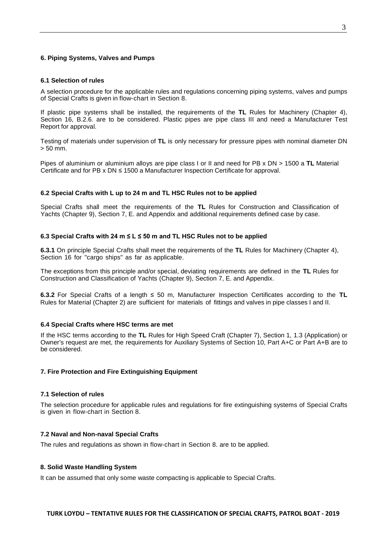#### <span id="page-41-1"></span><span id="page-41-0"></span>**6. Piping Systems, Valves and Pumps**

#### **6.1 Selection of rules**

A selection procedure for the applicable rules and regulations concerning piping systems, valves and pumps of Special Crafts is given in flow-chart in Section 8.

If plastic pipe systems shall be installed, the requirements of the **TL** Rules for Machinery (Chapter 4), Section 16, B.2.6. are to be considered. Plastic pipes are pipe class III and need a Manufacturer Test Report for approval.

Testing of materials under supervision of **TL** is only necessary for pressure pipes with nominal diameter DN > 50 mm.

<span id="page-41-2"></span>Pipes of aluminium or aluminium alloys are pipe class I or II and need for PB x DN > 1500 a **TL** Material Certificate and for PB x DN ≤ 1500 a Manufacturer Inspection Certificate for approval.

#### **6.2 Special Crafts with L up to 24 m and TL HSC Rules not to be applied**

<span id="page-41-3"></span>Special Crafts shall meet the requirements of the **TL** Rules for Construction and Classification of Yachts (Chapter 9), Section 7, E. and Appendix and additional requirements defined case by case.

#### **6.3 Special Crafts with 24 m ≤ L ≤ 50 m and TL HSC Rules not to be applied**

**6.3.1** On principle Special Crafts shall meet the requirements of the **TL** Rules for Machinery (Chapter 4), Section 16 for "cargo ships" as far as applicable.

The exceptions from this principle and/or special, deviating requirements are defined in the **TL** Rules for Construction and Classification of Yachts (Chapter 9), Section 7, E. and Appendix.

<span id="page-41-4"></span>**6.3.2** For Special Crafts of a length ≤ 50 m, Manufacturer Inspection Certificates according to the **TL** Rules for Material (Chapter 2) are sufficient for materials of fittings and valves in pipe classes I and II.

#### **6.4 Special Crafts where HSC terms are met**

If the HSC terms according to the **TL** Rules for High Speed Craft (Chapter 7), Section 1, 1.3 (Application) or Owner's request are met, the requirements for Auxiliary Systems of Section 10, Part A+C or Part A+B are to be considered.

#### <span id="page-41-6"></span><span id="page-41-5"></span>**7. Fire Protection and Fire Extinguishing Equipment**

#### **7.1 Selection of rules**

<span id="page-41-7"></span>The selection procedure for applicable rules and regulations for fire extinguishing systems of Special Crafts is given in flow-chart in Section 8.

#### **7.2 Naval and Non-naval Special Crafts**

<span id="page-41-8"></span>The rules and regulations as shown in flow-chart in Section 8. are to be applied.

#### **8. Solid Waste Handling System**

It can be assumed that only some waste compacting is applicable to Special Crafts.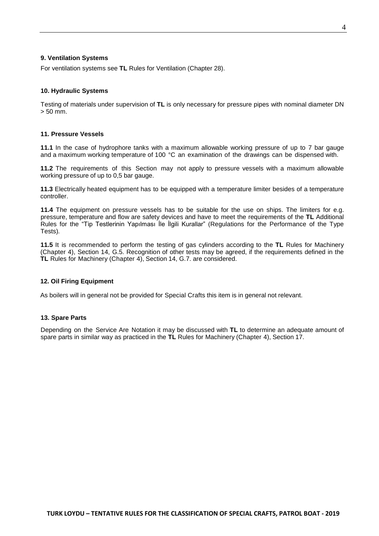#### <span id="page-42-0"></span>**9. Ventilation Systems**

<span id="page-42-1"></span>For ventilation systems see **TL** Rules for Ventilation (Chapter 28).

#### **10. Hydraulic Systems**

<span id="page-42-2"></span>Testing of materials under supervision of **TL** is only necessary for pressure pipes with nominal diameter DN > 50 mm.

#### **11. Pressure Vessels**

**11.1** In the case of hydrophore tanks with a maximum allowable working pressure of up to 7 bar gauge and a maximum working temperature of 100 °C an examination of the drawings can be dispensed with.

**11.2** The requirements of this Section may not apply to pressure vessels with a maximum allowable working pressure of up to 0,5 bar gauge.

**11.3** Electrically heated equipment has to be equipped with a temperature limiter besides of a temperature controller.

**11.4** The equipment on pressure vessels has to be suitable for the use on ships. The limiters for e.g. pressure, temperature and flow are safety devices and have to meet the requirements of the **TL** Additional Rules for the "Tip Testlerinin Yapılması İle İlgili Kurallar" (Regulations for the Performance of the Type Tests).

**11.5** It is recommended to perform the testing of gas cylinders according to the **TL** Rules for Machinery (Chapter 4), Section 14, G.5. Recognition of other tests may be agreed, if the requirements defined in the **TL** Rules for Machinery (Chapter 4), Section 14, G.7. are considered.

#### <span id="page-42-3"></span>**12. Oil Firing Equipment**

<span id="page-42-4"></span>As boilers will in general not be provided for Special Crafts this item is in general not relevant.

#### **13. Spare Parts**

Depending on the Service Are Notation it may be discussed with **TL** to determine an adequate amount of spare parts in similar way as practiced in the **TL** Rules for Machinery (Chapter 4), Section 17.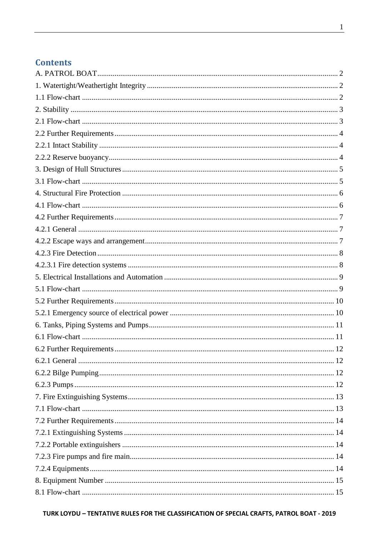# **Contents**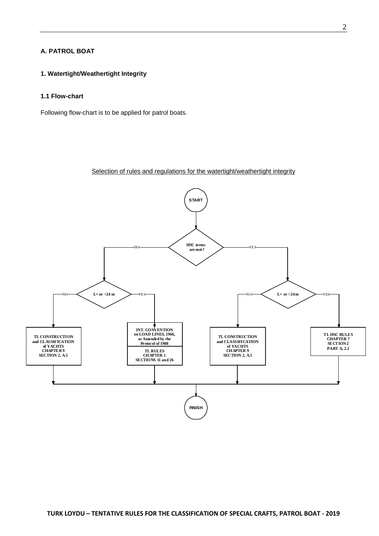# <span id="page-44-1"></span><span id="page-44-0"></span>**A. PATROL BOAT**

# <span id="page-44-2"></span>**1. Watertight/Weathertight Integrity**

# **1.1 Flow-chart**

Following flow-chart is to be applied for patrol boats.

# Selection of rules and regulations for the watertight/weathertight integrity

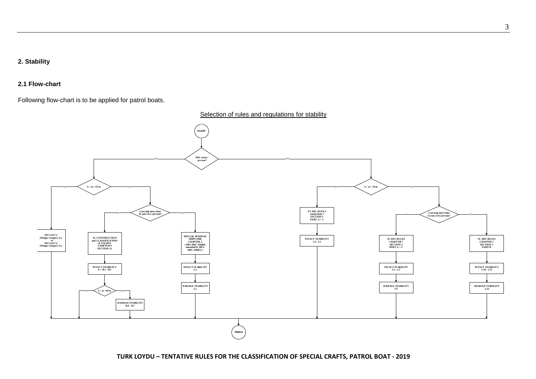# **2. Stability**

# **2.1 Flow-chart**

Following flow-chart is to be applied for patrol boats.

<span id="page-45-1"></span><span id="page-45-0"></span>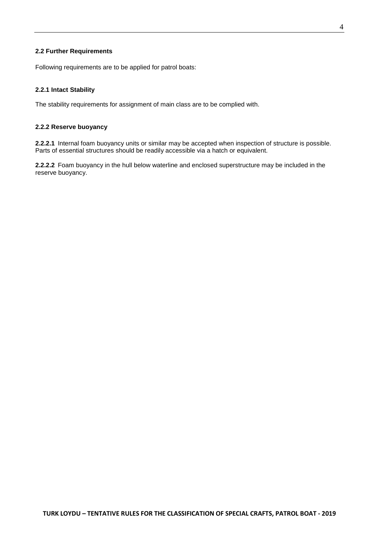#### <span id="page-46-0"></span>**2.2 Further Requirements**

<span id="page-46-1"></span>Following requirements are to be applied for patrol boats:

# **2.2.1 Intact Stability**

<span id="page-46-2"></span>The stability requirements for assignment of main class are to be complied with.

#### **2.2.2 Reserve buoyancy**

**2.2.2.1** Internal foam buoyancy units or similar may be accepted when inspection of structure is possible. Parts of essential structures should be readily accessible via a hatch or equivalent.

**2.2.2.2** Foam buoyancy in the hull below waterline and enclosed superstructure may be included in the reserve buoyancy.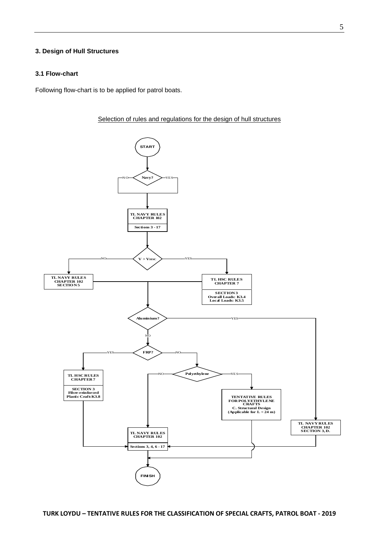# <span id="page-47-1"></span><span id="page-47-0"></span>**3. Design of Hull Structures**

# **3.1 Flow-chart**

Following flow-chart is to be applied for patrol boats.



Selection of rules and regulations for the design of hull structures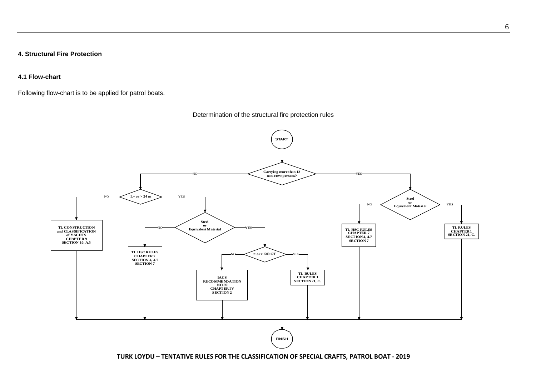**4. Structural Fire Protection**

**4.1 Flow-chart**

Following flow-chart is to be applied for patrol boats.

# Determination of the structural fire protection rules

<span id="page-48-1"></span><span id="page-48-0"></span>

**TURK LOYDU – TENTATIVE RULES FOR THE CLASSIFICATION OF SPECIAL CRAFTS, PATROL BOAT - 2019**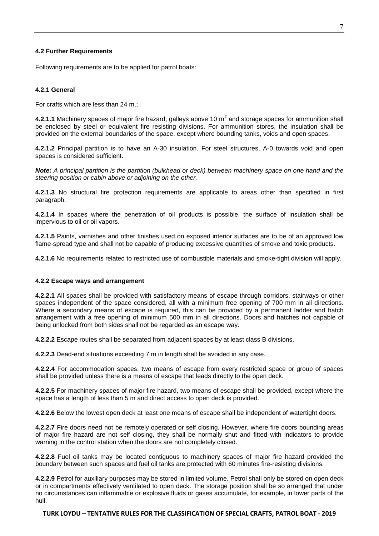#### <span id="page-49-0"></span>**4.2 Further Requirements**

<span id="page-49-1"></span>Following requirements are to be applied for patrol boats:

#### **4.2.1 General**

For crafts which are less than 24 m.;

**4.2.1.1** Machinery spaces of major fire hazard, galleys above 10  $m<sup>2</sup>$  and storage spaces for ammunition shall be enclosed by steel or equivalent fire resisting divisions. For ammunition stores, the insulation shall be provided on the external boundaries of the space, except where bounding tanks, voids and open spaces.

**4.2.1.2** Principal partition is to have an A-30 insulation. For steel structures, A-0 towards void and open spaces is considered sufficient.

*Note: A principal partition is the partition (bulkhead or deck) between machinery space on one hand and the steering position or cabin above or adjoining on the other.*

**4.2.1.3** No structural fire protection requirements are applicable to areas other than specified in first paragraph.

**4.2.1.4** In spaces where the penetration of oil products is possible, the surface of insulation shall be impervious to oil or oil vapors.

**4.2.1.5** Paints, varnishes and other finishes used on exposed interior surfaces are to be of an approved low flame-spread type and shall not be capable of producing excessive quantities of smoke and toxic products.

<span id="page-49-2"></span>**4.2.1.6** No requirements related to restricted use of combustible materials and smoke-tight division will apply.

#### **4.2.2 Escape ways and arrangement**

**4.2.2.1** All spaces shall be provided with satisfactory means of escape through corridors, stairways or other spaces independent of the space considered, all with a minimum free opening of 700 mm in all directions. Where a secondary means of escape is required, this can be provided by a permanent ladder and hatch arrangement with a free opening of minimum 500 mm in all directions. Doors and hatches not capable of being unlocked from both sides shall not be regarded as an escape way.

**4.2.2.2** Escape routes shall be separated from adjacent spaces by at least class B divisions.

**4.2.2.3** Dead-end situations exceeding 7 m in length shall be avoided in any case.

**4.2.2.4** For accommodation spaces, two means of escape from every restricted space or group of spaces shall be provided unless there is a means of escape that leads directly to the open deck.

**4.2.2.5** For machinery spaces of major fire hazard, two means of escape shall be provided, except where the space has a length of less than 5 m and direct access to open deck is provided.

**4.2.2.6** Below the lowest open deck at least one means of escape shall be independent of watertight doors.

**4.2.2.7** Fire doors need not be remotely operated or self closing. However, where fire doors bounding areas of major fire hazard are not self closing, they shall be normally shut and fitted with indicators to provide warning in the control station when the doors are not completely closed.

**4.2.2.8** Fuel oil tanks may be located contiguous to machinery spaces of major fire hazard provided the boundary between such spaces and fuel oil tanks are protected with 60 minutes fire-resisting divisions.

**4.2.2.9** Petrol for auxiliary purposes may be stored in limited volume. Petrol shall only be stored on open deck or in compartments effectively ventilated to open deck. The storage position shall be so arranged that under no circumstances can inflammable or explosive fluids or gases accumulate, for example, in lower parts of the hull.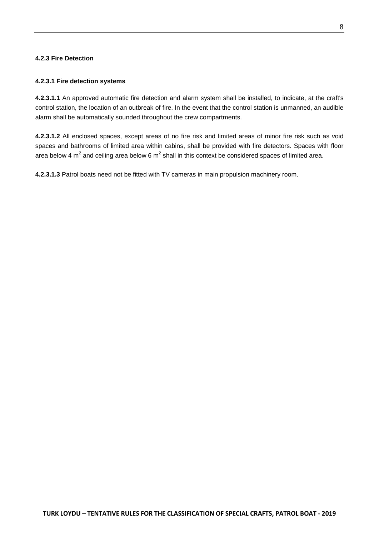# <span id="page-50-1"></span><span id="page-50-0"></span>**4.2.3 Fire Detection**

# **4.2.3.1 Fire detection systems**

**4.2.3.1.1** An approved automatic fire detection and alarm system shall be installed, to indicate, at the craft's control station, the location of an outbreak of fire. In the event that the control station is unmanned, an audible alarm shall be automatically sounded throughout the crew compartments.

**4.2.3.1.2** All enclosed spaces, except areas of no fire risk and limited areas of minor fire risk such as void spaces and bathrooms of limited area within cabins, shall be provided with fire detectors. Spaces with floor area below 4  $m^2$  and ceiling area below 6  $m^2$  shall in this context be considered spaces of limited area.

**4.2.3.1.3** Patrol boats need not be fitted with TV cameras in main propulsion machinery room.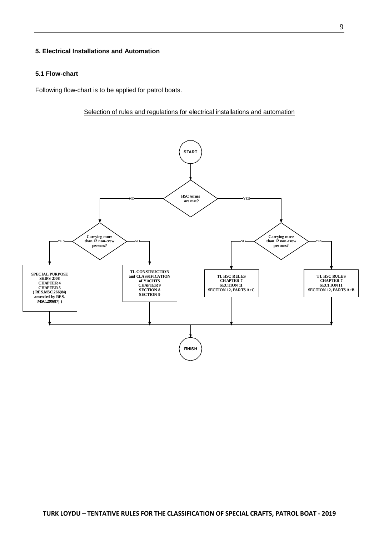# <span id="page-51-1"></span><span id="page-51-0"></span>**5. Electrical Installations and Automation**

#### **5.1 Flow-chart**

Following flow-chart is to be applied for patrol boats.

Selection of rules and regulations for electrical installations and automation

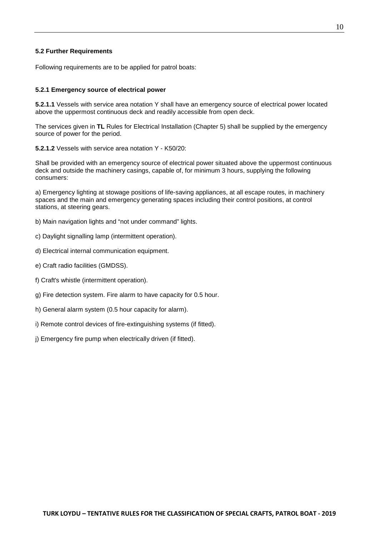# <span id="page-52-0"></span>**5.2 Further Requirements**

<span id="page-52-1"></span>Following requirements are to be applied for patrol boats:

#### **5.2.1 Emergency source of electrical power**

**5.2.1.1** Vessels with service area notation Y shall have an emergency source of electrical power located above the uppermost continuous deck and readily accessible from open deck.

The services given in **TL** Rules for Electrical Installation (Chapter 5) shall be supplied by the emergency source of power for the period.

**5.2.1.2** Vessels with service area notation Y - K50/20:

Shall be provided with an emergency source of electrical power situated above the uppermost continuous deck and outside the machinery casings, capable of, for minimum 3 hours, supplying the following consumers:

a) Emergency lighting at stowage positions of life-saving appliances, at all escape routes, in machinery spaces and the main and emergency generating spaces including their control positions, at control stations, at steering gears.

- b) Main navigation lights and "not under command" lights.
- c) Daylight signalling lamp (intermittent operation).
- d) Electrical internal communication equipment.
- e) Craft radio facilities (GMDSS).
- f) Craft's whistle (intermittent operation).
- g) Fire detection system. Fire alarm to have capacity for 0.5 hour.
- h) General alarm system (0.5 hour capacity for alarm).
- i) Remote control devices of fire-extinguishing systems (if fitted).
- j) Emergency fire pump when electrically driven (if fitted).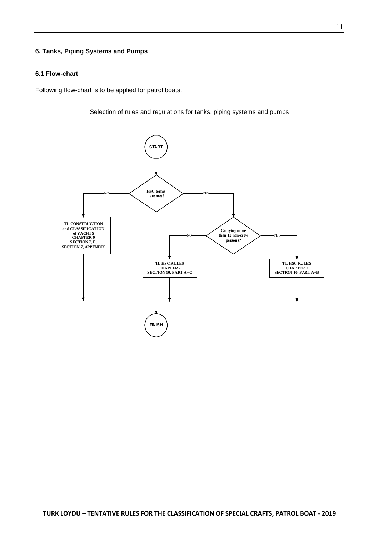# <span id="page-53-1"></span><span id="page-53-0"></span>**6. Tanks, Piping Systems and Pumps**

# **6.1 Flow-chart**

Following flow-chart is to be applied for patrol boats.



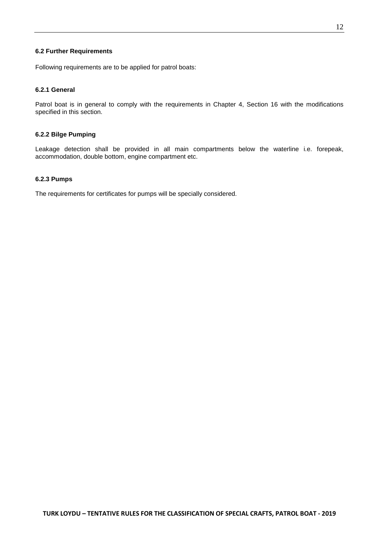# <span id="page-54-0"></span>**6.2 Further Requirements**

<span id="page-54-1"></span>Following requirements are to be applied for patrol boats:

## **6.2.1 General**

<span id="page-54-2"></span>Patrol boat is in general to comply with the requirements in Chapter 4, Section 16 with the modifications specified in this section.

#### **6.2.2 Bilge Pumping**

<span id="page-54-3"></span>Leakage detection shall be provided in all main compartments below the waterline i.e. forepeak, accommodation, double bottom, engine compartment etc.

# **6.2.3 Pumps**

The requirements for certificates for pumps will be specially considered.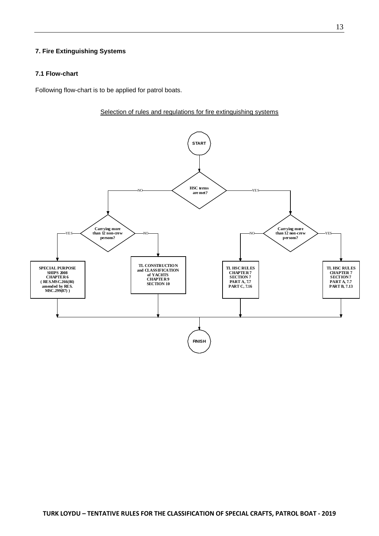# <span id="page-55-1"></span><span id="page-55-0"></span>**7. Fire Extinguishing Systems**

#### **7.1 Flow-chart**

Following flow-chart is to be applied for patrol boats.



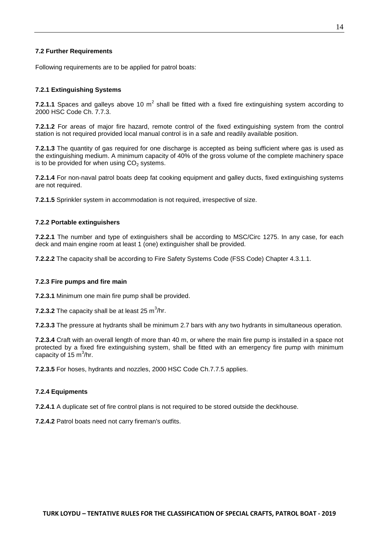# <span id="page-56-0"></span>**7.2 Further Requirements**

<span id="page-56-1"></span>Following requirements are to be applied for patrol boats:

#### **7.2.1 Extinguishing Systems**

**7.2.1.1** Spaces and galleys above 10  $m^2$  shall be fitted with a fixed fire extinguishing system according to 2000 HSC Code Ch. 7.7.3.

**7.2.1.2** For areas of major fire hazard, remote control of the fixed extinguishing system from the control station is not required provided local manual control is in a safe and readily available position.

**7.2.1.3** The quantity of gas required for one discharge is accepted as being sufficient where gas is used as the extinguishing medium. A minimum capacity of 40% of the gross volume of the complete machinery space is to be provided for when using  $CO<sub>2</sub>$  systems.

**7.2.1.4** For non-naval patrol boats deep fat cooking equipment and galley ducts, fixed extinguishing systems are not required.

<span id="page-56-2"></span>**7.2.1.5** Sprinkler system in accommodation is not required, irrespective of size.

#### **7.2.2 Portable extinguishers**

**7.2.2.1** The number and type of extinguishers shall be according to MSC/Circ 1275. In any case, for each deck and main engine room at least 1 (one) extinguisher shall be provided.

<span id="page-56-3"></span>**7.2.2.2** The capacity shall be according to Fire Safety Systems Code (FSS Code) Chapter 4.3.1.1.

#### **7.2.3 Fire pumps and fire main**

**7.2.3.1** Minimum one main fire pump shall be provided.

**7.2.3.2** The capacity shall be at least 25  $\text{m}^3\text{/hr}.$ 

**7.2.3.3** The pressure at hydrants shall be minimum 2.7 bars with any two hydrants in simultaneous operation.

**7.2.3.4** Craft with an overall length of more than 40 m, or where the main fire pump is installed in a space not protected by a fixed fire extinguishing system, shall be fitted with an emergency fire pump with minimum capacity of 15 m $\mathrm{^{3}/}$ hr.

<span id="page-56-4"></span>**7.2.3.5** For hoses, hydrants and nozzles, 2000 HSC Code Ch.7.7.5 applies.

#### **7.2.4 Equipments**

**7.2.4.1** A duplicate set of fire control plans is not required to be stored outside the deckhouse.

**7.2.4.2** Patrol boats need not carry fireman's outfits.